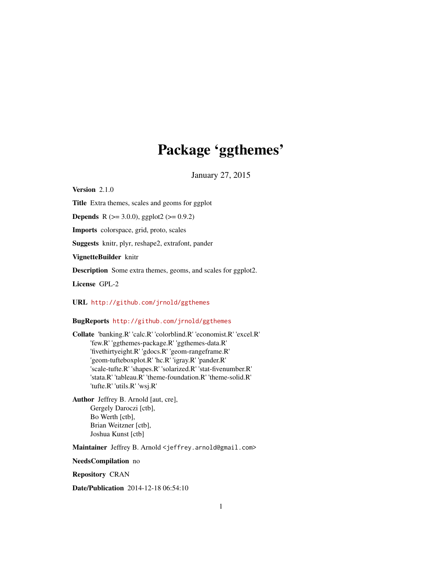# Package 'ggthemes'

January 27, 2015

<span id="page-0-0"></span>Version 2.1.0

Title Extra themes, scales and geoms for ggplot

**Depends** R ( $>= 3.0.0$ ), ggplot2 ( $>= 0.9.2$ )

Imports colorspace, grid, proto, scales

Suggests knitr, plyr, reshape2, extrafont, pander

VignetteBuilder knitr

Description Some extra themes, geoms, and scales for ggplot2.

License GPL-2

URL <http://github.com/jrnold/ggthemes>

## BugReports <http://github.com/jrnold/ggthemes>

Collate 'banking.R' 'calc.R' 'colorblind.R' 'economist.R' 'excel.R' 'few.R' 'ggthemes-package.R' 'ggthemes-data.R' 'fivethirtyeight.R' 'gdocs.R' 'geom-rangeframe.R' 'geom-tufteboxplot.R' 'hc.R' 'igray.R' 'pander.R' 'scale-tufte.R' 'shapes.R' 'solarized.R' 'stat-fivenumber.R' 'stata.R' 'tableau.R' 'theme-foundation.R' 'theme-solid.R' 'tufte.R' 'utils.R' 'wsj.R'

Author Jeffrey B. Arnold [aut, cre], Gergely Daroczi [ctb], Bo Werth [ctb], Brian Weitzner [ctb], Joshua Kunst [ctb]

Maintainer Jeffrey B. Arnold <jeffrey.arnold@gmail.com>

NeedsCompilation no

Repository CRAN

Date/Publication 2014-12-18 06:54:10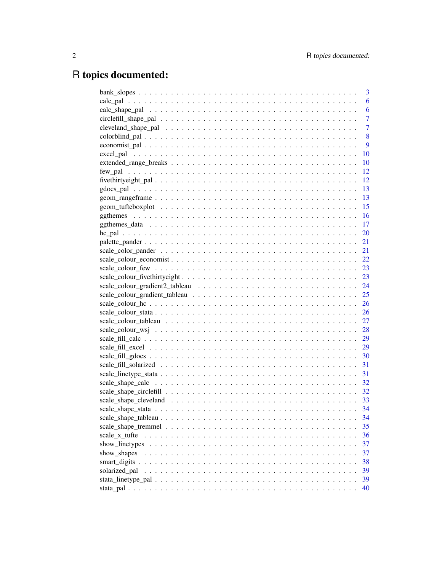## R topics documented:

|                       | 3              |
|-----------------------|----------------|
|                       | 6              |
|                       | 6              |
|                       | $\overline{7}$ |
|                       | $\overline{7}$ |
|                       | 8              |
|                       | 9              |
|                       | 10             |
|                       | 10             |
|                       | 12             |
|                       | 12             |
|                       | 13             |
|                       | -13            |
|                       |                |
|                       |                |
|                       |                |
|                       |                |
|                       |                |
|                       |                |
|                       |                |
|                       |                |
|                       |                |
|                       |                |
|                       |                |
|                       |                |
|                       |                |
|                       |                |
|                       |                |
|                       |                |
|                       |                |
|                       |                |
|                       |                |
|                       |                |
|                       |                |
|                       |                |
|                       |                |
|                       |                |
|                       |                |
|                       | 34             |
|                       | 35             |
| scale x tufte         | 36             |
| show linetypes        | 37             |
| show_shapes           | 37             |
| smart_digits $\ldots$ | 38             |
| solarized_pal         | 39             |
|                       | 39             |
|                       | 40             |
|                       |                |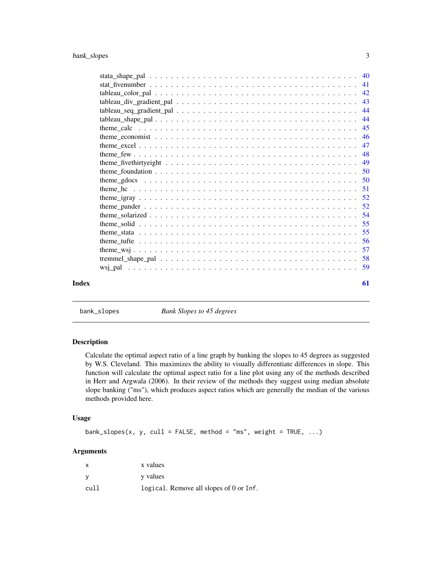<span id="page-2-0"></span>

|       | 44 |
|-------|----|
|       |    |
|       |    |
|       |    |
|       | 47 |
|       |    |
|       |    |
|       |    |
|       |    |
|       |    |
|       |    |
|       |    |
|       |    |
|       | 55 |
|       | 55 |
|       | 56 |
|       | 57 |
|       |    |
|       |    |
| Index | 61 |

bank\_slopes *Bank Slopes to 45 degrees*

## Description

Calculate the optimal aspect ratio of a line graph by banking the slopes to 45 degrees as suggested by W.S. Cleveland. This maximizes the ability to visually differentiate differences in slope. This function will calculate the optimal aspect ratio for a line plot using any of the methods described in Herr and Argwala (2006). In their review of the methods they suggest using median absolute slope banking ("ms"), which produces aspect ratios which are generally the median of the various methods provided here.

## Usage

```
bank_slopes(x, y, cull = FALSE, method = "ms", weight = TRUE, \dots)
```
## Arguments

| X    | x values                                |
|------|-----------------------------------------|
| - V  | y values                                |
| cull | logical. Remove all slopes of 0 or Inf. |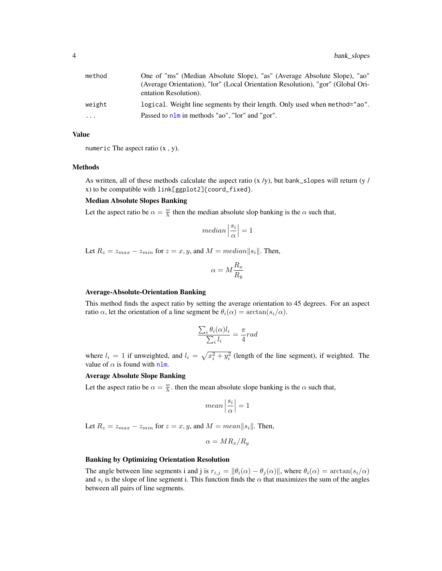<span id="page-3-0"></span>

| method    | One of "ms" (Median Absolute Slope), "as" (Average Absolute Slope), "ao"<br>(Average Orientation), "lor" (Local Orientation Resolution), "gor" (Global Ori-<br>entation Resolution). |
|-----------|--------------------------------------------------------------------------------------------------------------------------------------------------------------------------------------|
| weight    | logical. Weight line segments by their length. Only used when method="ao".                                                                                                           |
| $\ddotsc$ | Passed to nlm in methods "ao", "lor" and "gor".                                                                                                                                      |

#### Value

numeric The aspect ratio (x , y).

#### Methods

As written, all of these methods calculate the aspect ratio  $(x/y)$ , but bank\_slopes will return  $(y / y)$ x) to be compatible with link[ggplot2]{coord\_fixed}.

## Median Absolute Slopes Banking

Let the aspect ratio be  $\alpha = \frac{w}{h}$  then the median absolute slop banking is the  $\alpha$  such that,

$$
median\left|\frac{s_i}{\alpha}\right|=1
$$

Let  $R_z = z_{max} - z_{min}$  for  $z = x, y$ , and  $M = median||s_i||$ . Then,

$$
\alpha=M\frac{R_x}{R_y}
$$

#### Average-Absolute-Orientation Banking

This method finds the aspect ratio by setting the average orientation to 45 degrees. For an aspect ratio  $\alpha$ , let the orientation of a line segment be  $\theta_i(\alpha) = \arctan(s_i/\alpha)$ .

$$
\frac{\sum_{i} \theta_{i}(\alpha)l_{i}}{\sum_{i} l_{i}} = \frac{\pi}{4} rad
$$

where  $l_i = 1$  if unweighted, and  $l_i = \sqrt{x_i^2 + y_i^2}$  (length of the line segment), if weighted. The value of  $\alpha$  is found with [nlm](#page-0-0).

#### Average Absolute Slope Banking

Let the aspect ratio be  $\alpha = \frac{w}{h}$ , then the mean absolute slope banking is the  $\alpha$  such that,

$$
mean\left|\frac{s_i}{\alpha}\right| = 1
$$

Let  $R_z = z_{max} - z_{min}$  for  $z = x, y$ , and  $M = mean||s_i||$ . Then,

$$
\alpha = MR_x/R_y
$$

## Banking by Optimizing Orientation Resolution

The angle between line segments i and j is  $r_{i,j} = ||\theta_i(\alpha) - \theta_j(\alpha)||$ , where  $\theta_i(\alpha) = \arctan(s_i/\alpha)$ and  $s_i$  is the slope of line segment i. This function finds the  $\alpha$  that maximizes the sum of the angles between all pairs of line segments.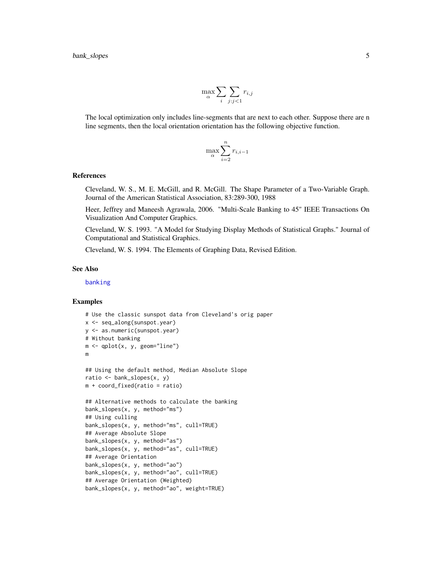$$
\max_{\alpha} \sum_{i} \sum_{j:j<1} r_{i,j}
$$

<span id="page-4-0"></span>The local optimization only includes line-segments that are next to each other. Suppose there are n line segments, then the local orientation orientation has the following objective function.

$$
\max_{\alpha} \sum_{i=2}^{n} r_{i,i-1}
$$

## References

Cleveland, W. S., M. E. McGill, and R. McGill. The Shape Parameter of a Two-Variable Graph. Journal of the American Statistical Association, 83:289-300, 1988

Heer, Jeffrey and Maneesh Agrawala, 2006. "Multi-Scale Banking to 45" IEEE Transactions On Visualization And Computer Graphics.

Cleveland, W. S. 1993. "A Model for Studying Display Methods of Statistical Graphs." Journal of Computational and Statistical Graphics.

Cleveland, W. S. 1994. The Elements of Graphing Data, Revised Edition.

#### See Also

[banking](#page-0-0)

## Examples

```
# Use the classic sunspot data from Cleveland's orig paper
x <- seq_along(sunspot.year)
y <- as.numeric(sunspot.year)
# Without banking
m \leq - qplot(x, y, geom="line")
m
## Using the default method, Median Absolute Slope
ratio <- bank_slopes(x, y)
m + coord_fixed(ratio = ratio)
## Alternative methods to calculate the banking
bank_slopes(x, y, method="ms")
## Using culling
bank_slopes(x, y, method="ms", cull=TRUE)
## Average Absolute Slope
bank_slopes(x, y, method="as")
bank_slopes(x, y, method="as", cull=TRUE)
## Average Orientation
bank_slopes(x, y, method="ao")
bank_slopes(x, y, method="ao", cull=TRUE)
## Average Orientation (Weighted)
bank_slopes(x, y, method="ao", weight=TRUE)
```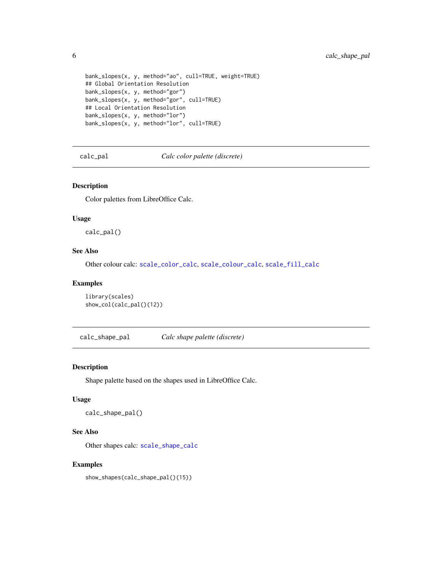```
bank_slopes(x, y, method="ao", cull=TRUE, weight=TRUE)
## Global Orientation Resolution
bank_slopes(x, y, method="gor")
bank_slopes(x, y, method="gor", cull=TRUE)
## Local Orientation Resolution
bank_slopes(x, y, method="lor")
bank_slopes(x, y, method="lor", cull=TRUE)
```
<span id="page-5-1"></span>calc\_pal *Calc color palette (discrete)*

## Description

Color palettes from LibreOffice Calc.

### Usage

calc\_pal()

## See Also

Other colour calc: [scale\\_color\\_calc](#page-28-1), [scale\\_colour\\_calc](#page-28-1), [scale\\_fill\\_calc](#page-28-2)

#### Examples

```
library(scales)
show_col(calc_pal()(12))
```
<span id="page-5-2"></span>calc\_shape\_pal *Calc shape palette (discrete)*

## Description

Shape palette based on the shapes used in LibreOffice Calc.

#### Usage

calc\_shape\_pal()

## See Also

Other shapes calc: [scale\\_shape\\_calc](#page-31-1)

## Examples

show\_shapes(calc\_shape\_pal()(15))

<span id="page-5-0"></span>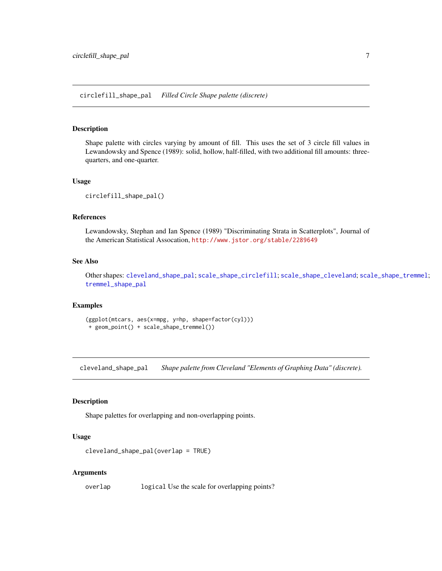<span id="page-6-2"></span><span id="page-6-0"></span>circlefill\_shape\_pal *Filled Circle Shape palette (discrete)*

#### Description

Shape palette with circles varying by amount of fill. This uses the set of 3 circle fill values in Lewandowsky and Spence (1989): solid, hollow, half-filled, with two additional fill amounts: threequarters, and one-quarter.

#### Usage

```
circlefill_shape_pal()
```
#### References

Lewandowsky, Stephan and Ian Spence (1989) "Discriminating Strata in Scatterplots", Journal of the American Statistical Assocation, <http://www.jstor.org/stable/2289649>

## See Also

Other shapes: [cleveland\\_shape\\_pal](#page-6-1); [scale\\_shape\\_circlefill](#page-31-2); [scale\\_shape\\_cleveland](#page-32-1); [scale\\_shape\\_tremmel](#page-34-1); [tremmel\\_shape\\_pal](#page-57-1)

## Examples

(ggplot(mtcars, aes(x=mpg, y=hp, shape=factor(cyl))) + geom\_point() + scale\_shape\_tremmel())

<span id="page-6-1"></span>cleveland\_shape\_pal *Shape palette from Cleveland "Elements of Graphing Data" (discrete).*

## Description

Shape palettes for overlapping and non-overlapping points.

#### Usage

```
cleveland_shape_pal(overlap = TRUE)
```
#### Arguments

overlap logical Use the scale for overlapping points?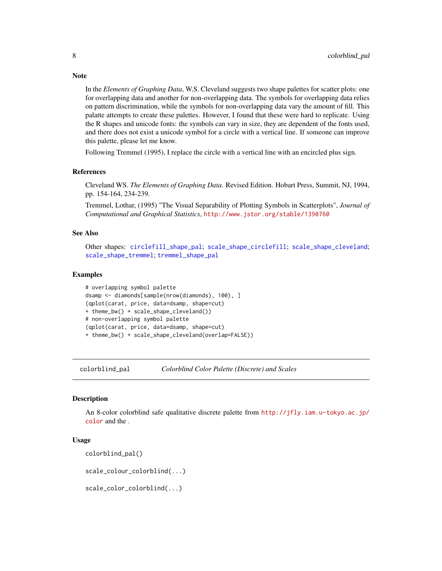In the *Elements of Graphing Data*, W.S. Cleveland suggests two shape palettes for scatter plots: one for overlapping data and another for non-overlapping data. The symbols for overlapping data relies on pattern discrimination, while the symbols for non-overlapping data vary the amount of fill. This palatte attempts to create these palettes. However, I found that these were hard to replicate. Using the R shapes and unicode fonts: the symbols can vary in size, they are dependent of the fonts used, and there does not exist a unicode symbol for a circle with a vertical line. If someone can improve this palette, please let me know.

Following Tremmel (1995), I replace the circle with a vertical line with an encircled plus sign.

#### References

Cleveland WS. *The Elements of Graphing Data*. Revised Edition. Hobart Press, Summit, NJ, 1994, pp. 154-164, 234-239.

Tremmel, Lothar, (1995) "The Visual Separability of Plotting Symbols in Scatterplots", *Journal of Computational and Graphical Statistics*, <http://www.jstor.org/stable/1390760>

## See Also

Other shapes: [circlefill\\_shape\\_pal](#page-6-2); [scale\\_shape\\_circlefill](#page-31-2); [scale\\_shape\\_cleveland](#page-32-1); [scale\\_shape\\_tremmel](#page-34-1); [tremmel\\_shape\\_pal](#page-57-1)

#### Examples

```
# overlapping symbol palette
dsamp <- diamonds[sample(nrow(diamonds), 100), ]
(qplot(carat, price, data=dsamp, shape=cut)
+ theme_bw() + scale_shape_cleveland())
# non-overlapping symbol palette
(qplot(carat, price, data=dsamp, shape=cut)
+ theme_bw() + scale_shape_cleveland(overlap=FALSE))
```
colorblind\_pal *Colorblind Color Palette (Discrete) and Scales*

#### **Description**

An 8-color colorblind safe qualitative discrete palette from [http://jfly.iam.u-tokyo.ac.jp/](http://jfly.iam.u-tokyo.ac.jp/color) [color](http://jfly.iam.u-tokyo.ac.jp/color) and the [.](http://wiki.stdout.org/rcookbook/Graphs/Colorsfor R)

#### Usage

```
colorblind_pal()
```
scale\_colour\_colorblind(...)

scale\_color\_colorblind(...)

<span id="page-7-0"></span>

## **Note**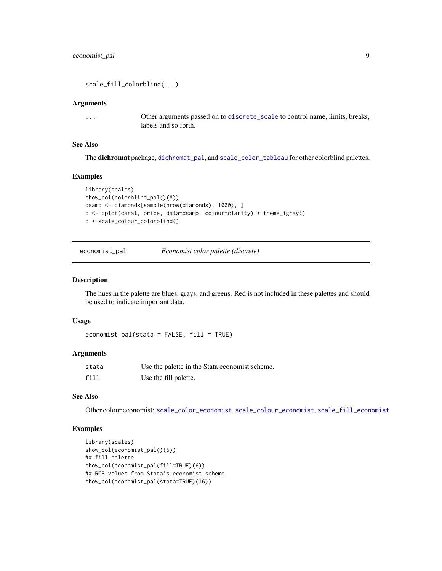<span id="page-8-0"></span>scale\_fill\_colorblind(...)

## Arguments

... Other arguments passed on to [discrete\\_scale](#page-0-0) to control name, limits, breaks, labels and so forth.

## See Also

The dichromat package, [dichromat\\_pal](#page-0-0), and [scale\\_color\\_tableau](#page-26-1) for other colorblind palettes.

#### Examples

```
library(scales)
show_col(colorblind_pal()(8))
dsamp <- diamonds[sample(nrow(diamonds), 1000), ]
p <- qplot(carat, price, data=dsamp, colour=clarity) + theme_igray()
p + scale_colour_colorblind()
```
<span id="page-8-1"></span>

| economist_pal | Economist color palette (discrete) |  |
|---------------|------------------------------------|--|
|---------------|------------------------------------|--|

#### Description

The hues in the palette are blues, grays, and greens. Red is not included in these palettes and should be used to indicate important data.

#### Usage

 $e$ conomist\_pal(stata = FALSE, fill = TRUE)

#### Arguments

| stata | Use the palette in the Stata economist scheme. |
|-------|------------------------------------------------|
| fill  | Use the fill palette.                          |

## See Also

Other colour economist: [scale\\_color\\_economist](#page-21-1), [scale\\_colour\\_economist](#page-21-2), [scale\\_fill\\_economist](#page-21-1)

## Examples

```
library(scales)
show_col(economist_pal()(6))
## fill palette
show_col(economist_pal(fill=TRUE)(6))
## RGB values from Stata's economist scheme
show_col(economist_pal(stata=TRUE)(16))
```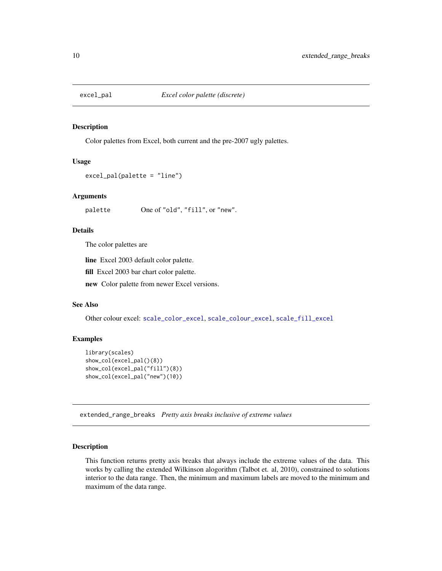<span id="page-9-1"></span><span id="page-9-0"></span>

Color palettes from Excel, both current and the pre-2007 ugly palettes.

#### Usage

```
excel_pal(palette = "line")
```
#### Arguments

palette One of "old", "fill", or "new".

## Details

The color palettes are

line Excel 2003 default color palette.

fill Excel 2003 bar chart color palette.

new Color palette from newer Excel versions.

## See Also

Other colour excel: [scale\\_color\\_excel](#page-28-3), [scale\\_colour\\_excel](#page-28-3), [scale\\_fill\\_excel](#page-28-4)

## Examples

```
library(scales)
show_col(excel_pal()(8))
show_col(excel_pal("fill")(8))
show_col(excel_pal("new")(10))
```
extended\_range\_breaks *Pretty axis breaks inclusive of extreme values*

#### Description

This function returns pretty axis breaks that always include the extreme values of the data. This works by calling the extended Wilkinson alogorithm (Talbot et. al, 2010), constrained to solutions interior to the data range. Then, the minimum and maximum labels are moved to the minimum and maximum of the data range.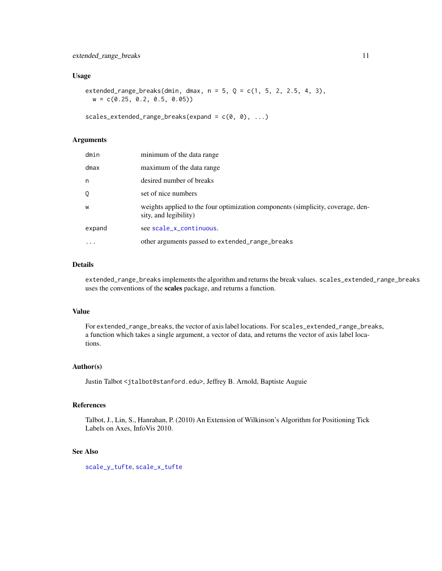#### <span id="page-10-0"></span>Usage

extended\_range\_breaks(dmin, dmax,  $n = 5$ ,  $Q = c(1, 5, 2, 2.5, 4, 3)$ ,  $w = c(0.25, 0.2, 0.5, 0.05)$ 

scales\_extended\_range\_breaks(expand =  $c(\theta, \theta), ...$ )

## Arguments

| dmin    | minimum of the data range                                                                                |
|---------|----------------------------------------------------------------------------------------------------------|
| $d$ max | maximum of the data range                                                                                |
| n       | desired number of breaks                                                                                 |
| 0       | set of nice numbers                                                                                      |
| W       | weights applied to the four optimization components (simplicity, coverage, den-<br>sity, and legibility) |
| expand  | see scale_x_continuous.                                                                                  |
|         | other arguments passed to extended_range_breaks                                                          |

#### Details

extended\_range\_breaks implements the algorithm and returns the break values. scales\_extended\_range\_breaks uses the conventions of the scales package, and returns a function.

#### Value

For extended\_range\_breaks, the vector of axis label locations. For scales\_extended\_range\_breaks, a function which takes a single argument, a vector of data, and returns the vector of axis label locations.

#### Author(s)

Justin Talbot <jtalbot@stanford.edu>, Jeffrey B. Arnold, Baptiste Auguie

#### References

Talbot, J., Lin, S., Hanrahan, P. (2010) An Extension of Wilkinson's Algorithm for Positioning Tick Labels on Axes, InfoVis 2010.

#### See Also

[scale\\_y\\_tufte](#page-35-1), [scale\\_x\\_tufte](#page-35-2)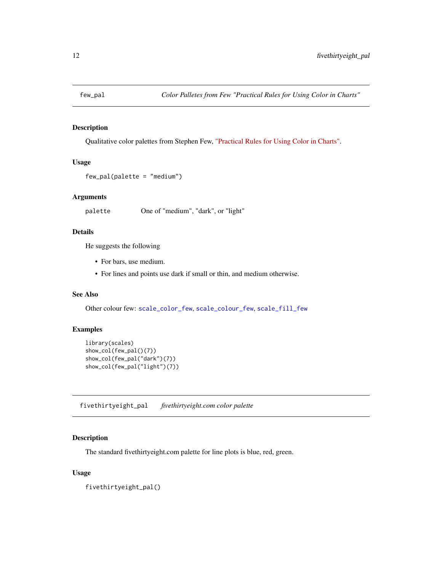<span id="page-11-1"></span><span id="page-11-0"></span>

Qualitative color palettes from Stephen Few, ["Practical Rules for Using Color in Charts".](http://www.perceptualedge.com/articles/visual_business_intelligence/rules_for_using_color.pdf)

## Usage

```
few_pal(palette = "medium")
```
#### Arguments

palette One of "medium", "dark", or "light"

## Details

He suggests the following

- For bars, use medium.
- For lines and points use dark if small or thin, and medium otherwise.

## See Also

Other colour few: [scale\\_color\\_few](#page-22-1), [scale\\_colour\\_few](#page-22-2), [scale\\_fill\\_few](#page-22-1)

## Examples

```
library(scales)
show_col(few_pal()(7))
show_col(few_pal("dark")(7))
show_col(few_pal("light")(7))
```
<span id="page-11-2"></span>fivethirtyeight\_pal *fivethirtyeight.com color palette*

## Description

The standard fivethirtyeight.com palette for line plots is blue, red, green.

## Usage

fivethirtyeight\_pal()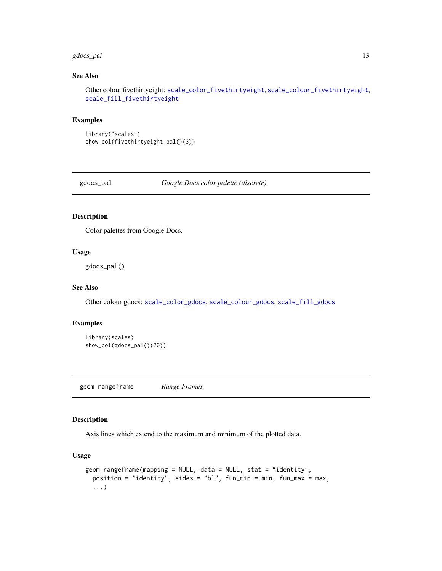#### <span id="page-12-0"></span>gdocs\_pal 13

## See Also

Other colour fivethirtyeight: [scale\\_color\\_fivethirtyeight](#page-22-3), [scale\\_colour\\_fivethirtyeight](#page-22-4), [scale\\_fill\\_fivethirtyeight](#page-22-3)

## Examples

library("scales") show\_col(fivethirtyeight\_pal()(3))

<span id="page-12-2"></span>gdocs\_pal *Google Docs color palette (discrete)*

#### Description

Color palettes from Google Docs.

## Usage

gdocs\_pal()

## See Also

Other colour gdocs: [scale\\_color\\_gdocs](#page-29-1), [scale\\_colour\\_gdocs](#page-29-1), [scale\\_fill\\_gdocs](#page-29-2)

#### Examples

```
library(scales)
show_col(gdocs_pal()(20))
```
<span id="page-12-1"></span>geom\_rangeframe *Range Frames*

#### Description

Axis lines which extend to the maximum and minimum of the plotted data.

## Usage

```
geom_rangeframe(mapping = NULL, data = NULL, stat = "identity",
 position = "identity", sides = "bl", fun_min = min, fun_max = max,
  ...)
```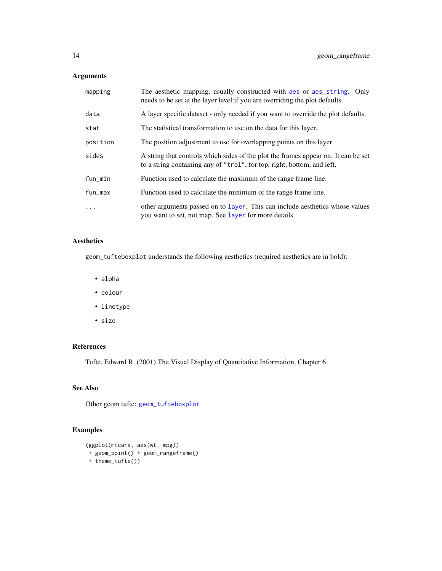## <span id="page-13-0"></span>Arguments

| mapping  | The aesthetic mapping, usually constructed with a es or a es_string. Only<br>needs to be set at the layer level if you are overriding the plot defaults.      |
|----------|---------------------------------------------------------------------------------------------------------------------------------------------------------------|
| data     | A layer specific dataset - only needed if you want to override the plot defaults.                                                                             |
| stat     | The statistical transformation to use on the data for this layer.                                                                                             |
| position | The position adjustment to use for overlapping points on this layer                                                                                           |
| sides    | A string that controls which sides of the plot the frames appear on. It can be set<br>to a string containing any of "trbl", for top, right, bottom, and left. |
| fun_min  | Function used to calculate the maximum of the range frame line.                                                                                               |
| fun_max  | Function used to calculate the minimum of the range frame line.                                                                                               |
| .        | other arguments passed on to layer. This can include aesthetics whose values<br>you want to set, not map. See layer for more details.                         |

## Aesthetics

geom\_tufteboxplot understands the following aesthetics (required aesthetics are in bold):

- alpha
- colour
- linetype
- size

## References

Tufte, Edward R. (2001) The Visual Display of Quantitative Information, Chapter 6.

## See Also

Other geom tufte: [geom\\_tufteboxplot](#page-14-1)

## Examples

```
(ggplot(mtcars, aes(wt, mpg))
+ geom_point() + geom_rangeframe()
+ theme_tufte())
```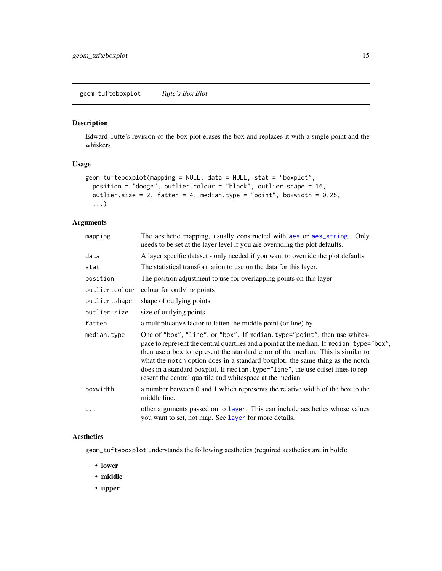<span id="page-14-1"></span><span id="page-14-0"></span>Edward Tufte's revision of the box plot erases the box and replaces it with a single point and the whiskers.

## Usage

```
geom_tufteboxplot(mapping = NULL, data = NULL, stat = "boxplot",
 position = "dodge", outlier.colour = "black", outlier.shape = 16,
 outlier.size = 2, fatten = 4, median.type = "point", boxwidth = 0.25,
  ...)
```
## Arguments

| mapping       | The aesthetic mapping, usually constructed with aes or aes_string. Only<br>needs to be set at the layer level if you are overriding the plot defaults.                                                                                                                                                                                                                                                                                                                                     |
|---------------|--------------------------------------------------------------------------------------------------------------------------------------------------------------------------------------------------------------------------------------------------------------------------------------------------------------------------------------------------------------------------------------------------------------------------------------------------------------------------------------------|
| data          | A layer specific dataset - only needed if you want to override the plot defaults.                                                                                                                                                                                                                                                                                                                                                                                                          |
| stat          | The statistical transformation to use on the data for this layer.                                                                                                                                                                                                                                                                                                                                                                                                                          |
| position      | The position adjustment to use for overlapping points on this layer                                                                                                                                                                                                                                                                                                                                                                                                                        |
|               | outlier.colour colour for outlying points                                                                                                                                                                                                                                                                                                                                                                                                                                                  |
| outlier.shape | shape of outlying points                                                                                                                                                                                                                                                                                                                                                                                                                                                                   |
| outlier.size  | size of outlying points                                                                                                                                                                                                                                                                                                                                                                                                                                                                    |
| fatten        | a multiplicative factor to fatten the middle point (or line) by                                                                                                                                                                                                                                                                                                                                                                                                                            |
| median.type   | One of "box", "line", or "box". If median.type="point", then use whites-<br>pace to represent the central quartiles and a point at the median. If median. type="box",<br>then use a box to represent the standard error of the median. This is similar to<br>what the notch option does in a standard boxplot. the same thing as the notch<br>does in a standard boxplot. If median. type="line", the use offset lines to rep-<br>resent the central quartile and whitespace at the median |
| boxwidth      | a number between 0 and 1 which represents the relative width of the box to the<br>middle line.                                                                                                                                                                                                                                                                                                                                                                                             |
| $\ddotsc$     | other arguments passed on to layer. This can include aesthetics whose values<br>you want to set, not map. See layer for more details.                                                                                                                                                                                                                                                                                                                                                      |

#### Aesthetics

geom\_tufteboxplot understands the following aesthetics (required aesthetics are in bold):

- lower
- middle
- upper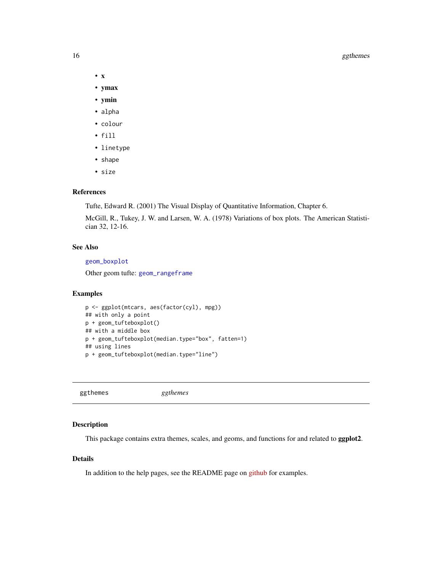#### 16 ggthemes and the state of the state of the state of the state of the state of the state of the state of the state of the state of the state of the state of the state of the state of the state of the state of the state o

- x
- ymax
- ymin
- alpha
- colour
- fill
- linetype
- shape
- size

#### References

Tufte, Edward R. (2001) The Visual Display of Quantitative Information, Chapter 6.

McGill, R., Tukey, J. W. and Larsen, W. A. (1978) Variations of box plots. The American Statistician 32, 12-16.

## See Also

[geom\\_boxplot](#page-0-0)

Other geom tufte: [geom\\_rangeframe](#page-12-1)

## Examples

```
p <- ggplot(mtcars, aes(factor(cyl), mpg))
## with only a point
p + geom_tufteboxplot()
## with a middle box
p + geom_tufteboxplot(median.type="box", fatten=1)
## using lines
p + geom_tufteboxplot(median.type="line")
```
ggthemes *ggthemes*

## Description

This package contains extra themes, scales, and geoms, and functions for and related to ggplot2.

#### Details

In addition to the help pages, see the README page on [github](https://github.com/jrnold/ggthemes) for examples.

<span id="page-15-0"></span>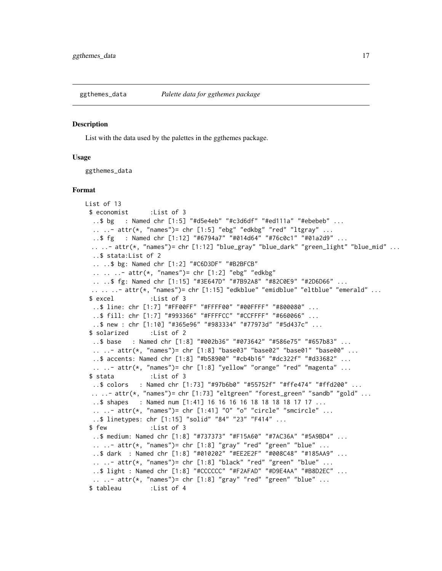<span id="page-16-1"></span><span id="page-16-0"></span>

List with the data used by the palettes in the ggthemes package.

#### Usage

ggthemes\_data

#### Format

```
List of 13
 $ economist :List of 3
  ..$ bg : Named chr [1:5] "#d5e4eb" "#c3d6df" "#ed111a" "#ebebeb" ...
  \ldots \ldots attr(*, "names")= chr [1:5] "ebg" "edkbg" "red" "ltgray" \ldots..$ fg : Named chr [1:12] "#6794a7" "#014d64" "#76c0c1" "#01a2d9" ...
  .. ..- attr(*, "names")= chr [1:12] "blue_gray" "blue_dark" "green_light" "blue_mid" ...
  ..$ stata:List of 2
  .. ..$ bg: Named chr [1:2] "#C6D3DF" "#B2BFCB"
  .. .. ..- attr(*, "names")= chr [1:2] "ebg" "edkbg"
  .. ..$ fg: Named chr [1:15] "#3E647D" "#7B92A8" "#82C0E9" "#2D6D66" ...
 \ldots \ldots \ldots attr(*, "names")= chr [1:15] "edkblue" "emidblue" "eltblue" "emerald" \ldots$ excel :List of 3
  ..$ line: chr [1:7] "#FF00FF" "#FFFF00" "#00FFFF" "#800080" ...
  ..$ fill: chr [1:7] "#993366" "#FFFFCC" "#CCFFFF" "#660066" ...
  ..$ new : chr [1:10] "#365e96" "#983334" "#77973d" "#5d437c" ...
 $ solarized :List of 2
  ..$ base : Named chr [1:8] "#002b36" "#073642" "#586e75" "#657b83" ...
  .. ..- attr(*, "names")= chr [1:8] "base03" "base02" "base01" "base00" ...
  ..$ accents: Named chr [1:8] "#b58900" "#cb4b16" "#dc322f" "#d33682" ...
  \ldots .. - attr(*, "names")= chr [1:8] "yellow" "orange" "red" "magenta" \ldots$ stata :List of 3
  ..$ colors : Named chr [1:73] "#97b6b0" "#55752f" "#ffe474" "#ffd200" ...
 \ldots .. - attr(\star, "names")= chr [1:73] "eltgreen" "forest_green" "sandb" "gold" \ldots..$ shapes : Named num [1:41] 16 16 16 16 18 18 18 18 17 17 ...
  \ldots \ldots - attr(\star, "names")= chr [1:41] "0" "o" "circle" "smcircle" \ldots..$ linetypes: chr [1:15] "solid" "84" "23" "F414" ...
 $ few :List of 3
  ..$ medium: Named chr [1:8] "#737373" "#F15A60" "#7AC36A" "#5A9BD4" ...
  \ldots \ldots attr(*, "names")= chr [1:8] "gray" "red" "green" "blue" \ldots..$ dark : Named chr [1:8] "#010202" "#EE2E2F" "#008C48" "#185AA9" ...
  \ldots \ldots attr(\star, "names")= chr [1:8] "black" "red" "green" "blue" \ldots..$ light : Named chr [1:8] "#CCCCCC" "#F2AFAD" "#D9E4AA" "#B8D2EC" ...
  \ldots \ldots attr(*, "names")= chr [1:8] "gray" "red" "green" "blue" \ldots$ tableau :List of 4
```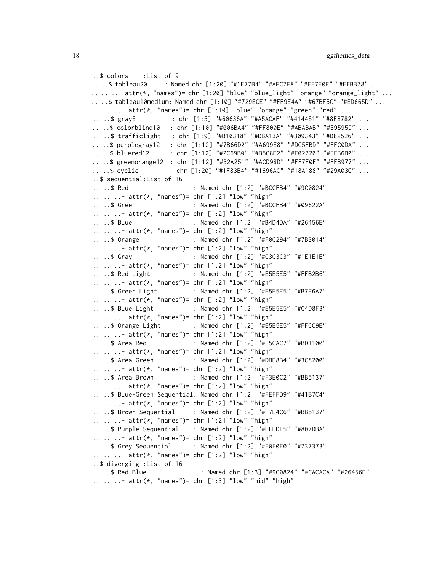```
..$ colors :List of 9
.. ..$ tableau20 : Named chr [1:20] "#1F77B4" "#AEC7E8" "#FF7F0E" "#FFBB78" ...
\ldots.. \ldots attr(\star, "names")= chr [1:20] "blue" "blue_light" "orange" "orange_light" \ldots.. ..$ tableau10medium: Named chr [1:10] "#729ECE" "#FF9E4A" "#67BF5C" "#ED665D" ...
\ldots \ldots \ldots attr(*, "names")= chr [1:10] "blue" "orange" "green" "red" \ldots.. ..$ gray5 : chr [1:5] "#60636A" "#A5ACAF" "#414451" "#8F8782" ...
.. ..$ colorblind10 : chr [1:10] "#006BA4" "#FF800E" "#ABABAB" "#595959" ...
.. ..$ trafficlight : chr [1:9] "#B10318" "#DBA13A" "#309343" "#D82526" ...
.. ..$ purplegray12 : chr [1:12] "#7B66D2" "#A699E8" "#DC5FBD" "#FFC0DA" ...
.. ..$ bluered12 : chr [1:12] "#2C69B0" "#B5C8E2" "#F02720" "#FFB6B0" ...
.. ..$ greenorange12 : chr [1:12] "#32A251" "#ACD98D" "#FF7F0F" "#FFB977" ...
.. ..$ cyclic : chr [1:20] "#1F83B4" "#1696AC" "#18A188" "#29A03C" ...
..$ sequential:List of 16
.. ..$ Red : Named chr [1:2] "#BCCFB4" "#9C0824"
.. .. ..- attr(*, "names")= chr [1:2] "low" "high"
.. ..$ Green : Named chr [1:2] "#BCCFB4" "#09622A"
.. .. ..- attr(*, "names")= chr [1:2] "low" "high"
.. ..$ Blue : Named chr [1:2] "#B4D4DA" "#26456E"
\ldots \ldots \ldots attr(*, "names")= chr [1:2] "low" "high"
.. ..$ Orange : Named chr [1:2] "#F0C294" "#7B3014"
.. .. ..- attr(*, "names")= chr [1:2] "low" "high"
.. ..$ Gray : Named chr [1:2] "#C3C3C3" "#1E1E1E"
.. .. ..- attr(*, "names")= chr [1:2] "low" "high"
.. ..$ Red Light : Named chr [1:2] "#E5E5E5" "#FFB2B6"
\ldots \ldots \ldots attr(*, "names")= chr [1:2] "low" "high"
.. ..$ Green Light : Named chr [1:2] "#E5E5E5" "#B7E6A7"
\ldots \ldots \ldots attr(*, "names")= chr [1:2] "low" "high"
.. ..$ Blue Light : Named chr [1:2] "#E5E5E5" "#C4D8F3"
.. .. ..- attr(*, "names")= chr [1:2] "low" "high"
.. ..$ Orange Light : Named chr [1:2] "#E5E5E5" "#FFCC9E"
.. .. ..- attr(*, "names")= chr [1:2] "low" "high"
.. ..$ Area Red : Named chr [1:2] "#F5CAC7" "#BD1100"
.. .. ..- attr(*, "names")= chr [1:2] "low" "high"
.. ..$ Area Green : Named chr [1:2] "#DBE8B4" "#3C8200"
.. .. ..- attr(*, "names")= chr [1:2] "low" "high"
.. ..$ Area Brown : Named chr [1:2] "#F3E0C2" "#BB5137"
\ldots \ldots \ldots attr(\star, "names")= chr [1:2] "low" "high"
.. ..$ Blue-Green Sequential: Named chr [1:2] "#FEFFD9" "#41B7C4"
.. .. ..- attr(*, "names")= chr [1:2] "low" "high"
.. ..$ Brown Sequential : Named chr [1:2] "#F7E4C6" "#BB5137"
.. .. ..- attr(*, "names")= chr [1:2] "low" "high"
.. ..$ Purple Sequential : Named chr [1:2] "#EFEDF5" "#807DBA"
.. .. ..- attr(*, "names")= chr [1:2] "low" "high"
.. ..$ Grey Sequential : Named chr [1:2] "#F0F0F0" "#737373"
.. .. ..- attr(*, "names")= chr [1:2] "low" "high"
..$ diverging :List of 16
.. ..$ Red-Blue : Named chr [1:3] "#9C0824" "#CACACA" "#26456E"
.. .. ..- attr(*, "names")= chr [1:3] "low" "mid" "high"
```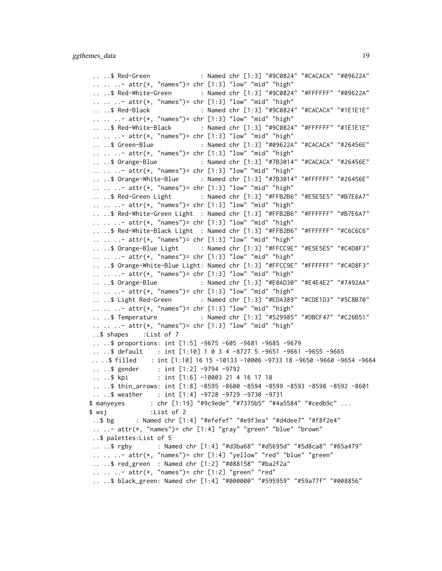.. ..\$ Red-Green : Named chr [1:3] "#9C0824" "#CACACA" "#09622A" .. .. ..- attr(\*, "names")= chr [1:3] "low" "mid" "high" .. ..\$ Red-White-Green : Named chr [1:3] "#9C0824" "#FFFFFF" "#09622A" .. .. ..- attr(\*, "names")= chr [1:3] "low" "mid" "high" .. ..\$ Red-Black : Named chr [1:3] "#9C0824" "#CACACA" "#1E1E1E" .. .. ..- attr(\*, "names")= chr [1:3] "low" "mid" "high" .. ..\$ Red-White-Black : Named chr [1:3] "#9C0824" "#FFFFFF" "#1E1E1E" .. .. ..- attr(\*, "names")= chr [1:3] "low" "mid" "high" .. ..\$ Green-Blue : Named chr [1:3] "#09622A" "#CACACA" "#26456E" .. .. ..- attr(\*, "names")= chr [1:3] "low" "mid" "high" .. ..\$ Orange-Blue : Named chr [1:3] "#7B3014" "#CACACA" "#26456E" .. .. ..- attr(\*, "names")= chr [1:3] "low" "mid" "high" .. ..\$ Orange-White-Blue : Named chr [1:3] "#7B3014" "#FFFFFF" "#26456E"  $\ldots$   $\ldots$   $\ldots$  attr(\*, "names")= chr [1:3] "low" "mid" "high" .. ..\$ Red-Green Light : Named chr [1:3] "#FFB2B6" "#E5E5E5" "#B7E6A7" .. .. ..- attr(\*, "names")= chr [1:3] "low" "mid" "high" .. ..\$ Red-White-Green Light : Named chr [1:3] "#FFB2B6" "#FFFFFF" "#B7E6A7" .. .. ..- attr(\*, "names")= chr [1:3] "low" "mid" "high" .. ..\$ Red-White-Black Light : Named chr [1:3] "#FFB2B6" "#FFFFFF" "#C6C6C6" .. .. ..- attr(\*, "names")= chr [1:3] "low" "mid" "high" ....\$ Orange-Blue Light : Named chr [1:3] "#FFCC9E" "#E5E5E5" "#C4D8F3" .. .. ..- attr(\*, "names")= chr [1:3] "low" "mid" "high" .. ..\$ Orange-White-Blue Light: Named chr [1:3] "#FFCC9E" "#FFFFFF" "#C4D8F3" .. .. ..- attr(\*, "names")= chr [1:3] "low" "mid" "high" .. ..\$ Orange-Blue : Named chr [1:3] "#E0AD30" "#E4E4E2" "#7492AA" .. .. ..- attr(\*, "names")= chr [1:3] "low" "mid" "high" .. ..\$ Light Red-Green : Named chr [1:3] "#EDA389" "#CDE1D3" "#5C8B70" .. .. ..- attr(\*, "names")= chr [1:3] "low" "mid" "high" .. ..\$ Temperature : Named chr [1:3] "#529985" "#DBCF47" "#C26B51" .. .. ..- attr(\*, "names")= chr [1:3] "low" "mid" "high" ..\$ shapes :List of 7 .. ..\$ proportions: int [1:5] -9675 -605 -9681 -9685 -9679 .. ..\$ default : int [1:10] 1 0 3 4 -8727 5 -9651 -9661 -9655 -9665 .. ..\$ filled : int [1:10] 16 15 -10133 -10006 -9733 18 -9650 -9660 -9654 -9664 .. ..\$ gender : int [1:2] -9794 -9792 ....\$ kpi : int [1:6] -10003 21 4 16 17 18 .. ..\$ thin\_arrows: int [1:8] -8595 -8600 -8594 -8599 -8593 -8598 -8592 -8601 .. ..\$ weather : int [1:4] -9728 -9729 -9730 -9731 \$ manyeyes : chr [1:19] "#9c9ede" "#7375b5" "#4a5584" "#cedb9c" ... \$ wsj :List of 2 ..\$ bg : Named chr [1:4] "#efefef" "#e9f3ea" "#d4dee7" "#f8f2e4"  $\ldots$   $\ldots$  attr(\*, "names")= chr [1:4] "gray" "green" "blue" "brown" ..\$ palettes:List of 5 .. ..\$ rgby : Named chr [1:4] "#d3ba68" "#d5695d" "#5d8ca8" "#65a479" .. .. ..- attr(\*, "names")= chr [1:4] "yellow" "red" "blue" "green" .. ..\$ red\_green : Named chr [1:2] "#088158" "#ba2f2a"  $\ldots$   $\ldots$   $\ldots$  attr(\*, "names")= chr [1:2] "green" "red" .. ..\$ black\_green: Named chr [1:4] "#000000" "#595959" "#59a77f" "#008856"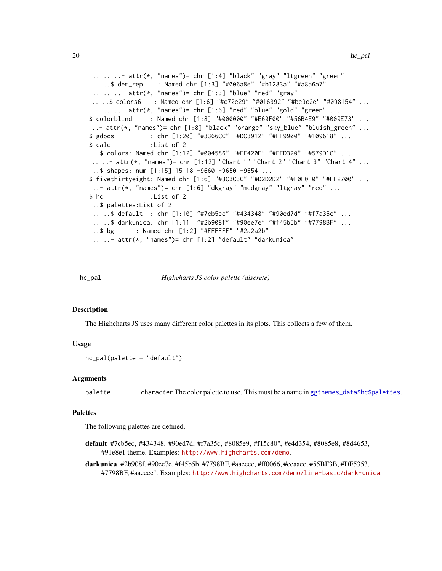```
.. .. ..- attr(*, "names")= chr [1:4] "black" "gray" "ltgreen" "green"
 .. ..$ dem_rep : Named chr [1:3] "#006a8e" "#b1283a" "#a8a6a7"
 \ldots \ldots \ldots attr(*, "names")= chr [1:3] "blue" "red" "gray"
 .. ..$ colors6 : Named chr [1:6] "#c72e29" "#016392" "#be9c2e" "#098154" ...
 \ldots \ldots - attr(*, "names")= chr [1:6] "red" "blue" "gold" "green" \ldots$ colorblind : Named chr [1:8] "#000000" "#E69F00" "#56B4E9" "#009E73" ...
..- attr(*, "names")= chr [1:8] "black" "orange" "sky_blue" "bluish_green" ...
$ gdocs : chr [1:20] "#3366CC" "#DC3912" "#FF9900" "#109618" ...
$ calc :List of 2
 ..$ colors: Named chr [1:12] "#004586" "#FF420E" "#FFD320" "#579D1C" ...
.. ..- attr(*, "names")= chr [1:12] "Chart 1" "Chart 2" "Chart 3" "Chart 4" ...
 ..$ shapes: num [1:15] 15 18 -9660 -9650 -9654 ...
$ fivethirtyeight: Named chr [1:6] "#3C3C3C" "#D2D2D2" "#F0F0F0" "#FF2700" ...
 \ldots attr(\star, "names")= chr [1:6] "dkgray" "medgray" "ltgray" "red" \ldots$ hc :List of 2
 ..$ palettes:List of 2
 .. ..$ default : chr [1:10] "#7cb5ec" "#434348" "#90ed7d" "#f7a35c" ...
 .. ..$ darkunica: chr [1:11] "#2b908f" "#90ee7e" "#f45b5b" "#7798BF" ...
 ..$ bg : Named chr [1:2] "#FFFFFF" "#2a2a2b"
 \ldots \ldots attr(\star, "names")= chr [1:2] "default" "darkunica"
```
<span id="page-19-1"></span>

hc\_pal *Highcharts JS color palette (discrete)*

#### Description

The Highcharts JS uses many different color palettes in its plots. This collects a few of them.

#### Usage

```
hc_pal(palette = "default")
```
#### Arguments

palette character The color palette to use. This must be a name in [ggthemes\\_data\\$hc\\$palettes](#page-16-1).

#### Palettes

The following palettes are defined,

- default #7cb5ec, #434348, #90ed7d, #f7a35c, #8085e9, #f15c80", #e4d354, #8085e8, #8d4653, #91e8e1 theme. Examples: <http://www.highcharts.com/demo>.
- darkunica #2b908f, #90ee7e, #f45b5b, #7798BF, #aaeeee, #ff0066, #eeaaee, #55BF3B, #DF5353, #7798BF, #aaeeee". Examples: <http://www.highcharts.com/demo/line-basic/dark-unica>.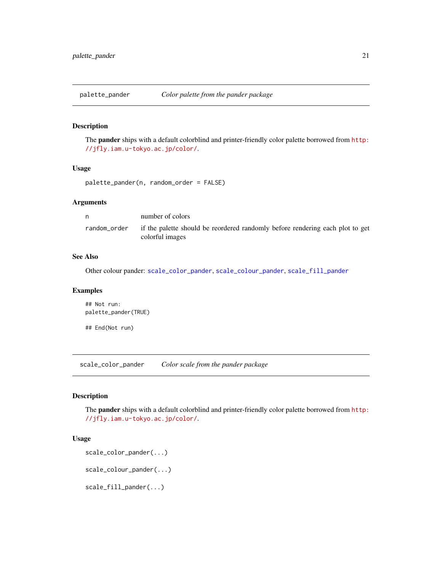<span id="page-20-3"></span><span id="page-20-0"></span>

The pander ships with a default colorblind and printer-friendly color palette borrowed from [http:](http://jfly.iam.u-tokyo.ac.jp/color/) [//jfly.iam.u-tokyo.ac.jp/color/](http://jfly.iam.u-tokyo.ac.jp/color/).

#### Usage

```
palette_pander(n, random_order = FALSE)
```
## Arguments

| n            | number of colors                                                                                 |
|--------------|--------------------------------------------------------------------------------------------------|
| random_order | if the palette should be reordered randomly before rendering each plot to get<br>colorful images |

#### See Also

Other colour pander: [scale\\_color\\_pander](#page-20-1), [scale\\_colour\\_pander](#page-20-2), [scale\\_fill\\_pander](#page-20-2)

#### Examples

## Not run: palette\_pander(TRUE)

## End(Not run)

<span id="page-20-1"></span>scale\_color\_pander *Color scale from the pander package*

## <span id="page-20-2"></span>Description

The pander ships with a default colorblind and printer-friendly color palette borrowed from [http:](http://jfly.iam.u-tokyo.ac.jp/color/) [//jfly.iam.u-tokyo.ac.jp/color/](http://jfly.iam.u-tokyo.ac.jp/color/).

#### Usage

```
scale_color_pander(...)
```
scale\_colour\_pander(...)

scale\_fill\_pander(...)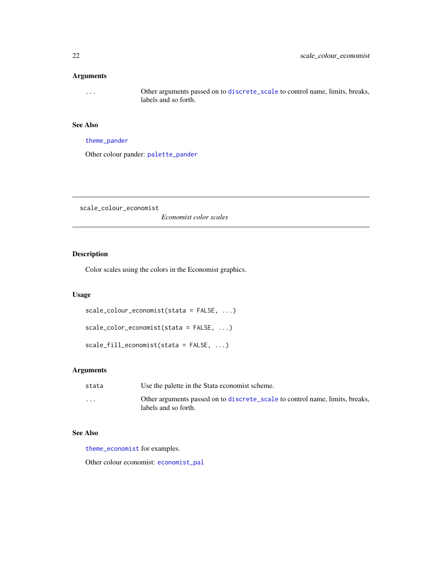## <span id="page-21-0"></span>Arguments

... Other arguments passed on to [discrete\\_scale](#page-0-0) to control name, limits, breaks, labels and so forth.

## See Also

[theme\\_pander](#page-51-1)

Other colour pander: [palette\\_pander](#page-20-3)

<span id="page-21-2"></span>scale\_colour\_economist

*Economist color scales*

## <span id="page-21-1"></span>Description

Color scales using the colors in the Economist graphics.

## Usage

```
scale_colour_economist(stata = FALSE, ...)
```

```
scale_color_economist(stata = FALSE, ...)
```
scale\_fill\_economist(stata = FALSE, ...)

## Arguments

| stata                   | Use the palette in the Stata economist scheme.                                                       |
|-------------------------|------------------------------------------------------------------------------------------------------|
| $\cdot$ $\cdot$ $\cdot$ | Other arguments passed on to discrete_scale to control name, limits, breaks,<br>labels and so forth. |

## See Also

[theme\\_economist](#page-45-1) for examples.

Other colour economist: [economist\\_pal](#page-8-1)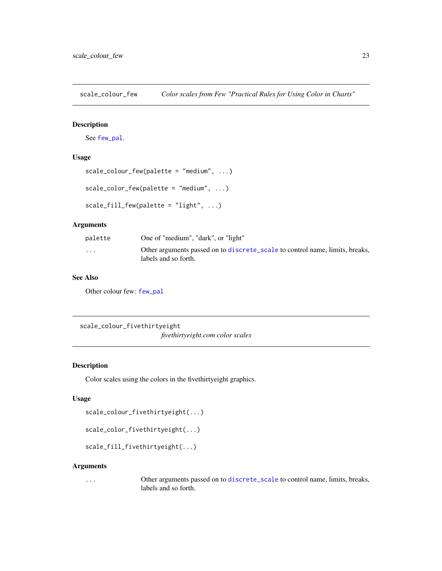<span id="page-22-2"></span><span id="page-22-0"></span>scale\_colour\_few *Color scales from Few "Practical Rules for Using Color in Charts"*

## <span id="page-22-1"></span>Description

See [few\\_pal](#page-11-1).

## Usage

```
scale_colour_few(palette = "medium", ...)
```

```
scale_color_few(palette = "medium", ...)
```
scale\_fill\_few(palette = "light", ...)

#### Arguments

| palette  | One of "medium", "dark", or "light"                                                                  |
|----------|------------------------------------------------------------------------------------------------------|
| $\cdots$ | Other arguments passed on to discrete_scale to control name, limits, breaks,<br>labels and so forth. |

## See Also

Other colour few: [few\\_pal](#page-11-1)

<span id="page-22-4"></span>scale\_colour\_fivethirtyeight *fivethirtyeight.com color scales*

### <span id="page-22-3"></span>Description

Color scales using the colors in the fivethirtyeight graphics.

## Usage

```
scale_colour_fivethirtyeight(...)
```
scale\_color\_fivethirtyeight(...)

scale\_fill\_fivethirtyeight(...)

#### Arguments

... Other arguments passed on to [discrete\\_scale](#page-0-0) to control name, limits, breaks, labels and so forth.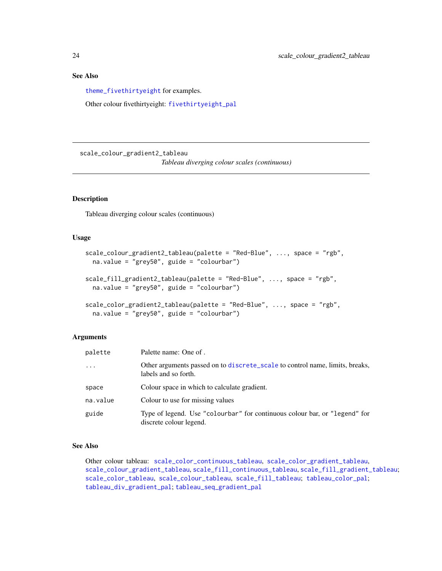#### <span id="page-23-0"></span>See Also

[theme\\_fivethirtyeight](#page-48-1) for examples.

Other colour fivethirtyeight: [fivethirtyeight\\_pal](#page-11-2)

<span id="page-23-2"></span>scale\_colour\_gradient2\_tableau

*Tableau diverging colour scales (continuous)*

## <span id="page-23-1"></span>Description

Tableau diverging colour scales (continuous)

## Usage

```
scale_colour_gradient2_tableau(palette = "Red-Blue", ..., space = "rgb",
 na.value = "grey50", guide = "colourbar")
scale_fill_gradient2_tableau(palette = "Red-Blue", ..., space = "rgb",
 na.value = "grey50", guide = "colourbar")
scale_color_gradient2_tableau(palette = "Red-Blue", ..., space = "rgb",
 na.value = "grey50", guide = "colourbar")
```
## Arguments

| palette  | Palette name: One of.                                                                                 |
|----------|-------------------------------------------------------------------------------------------------------|
| $\cdots$ | Other arguments passed on to discrete_scale to control name, limits, breaks,<br>labels and so forth.  |
| space    | Colour space in which to calculate gradient.                                                          |
| na.value | Colour to use for missing values                                                                      |
| guide    | Type of legend. Use "colourbar" for continuous colour bar, or "legend" for<br>discrete colour legend. |

## See Also

Other colour tableau: [scale\\_color\\_continuous\\_tableau](#page-24-1), [scale\\_color\\_gradient\\_tableau](#page-24-1), [scale\\_colour\\_gradient\\_tableau](#page-24-2), [scale\\_fill\\_continuous\\_tableau](#page-24-1), [scale\\_fill\\_gradient\\_tableau](#page-24-1); [scale\\_color\\_tableau](#page-26-1), [scale\\_colour\\_tableau](#page-26-2), [scale\\_fill\\_tableau](#page-26-1); [tableau\\_color\\_pal](#page-41-1); [tableau\\_div\\_gradient\\_pal](#page-42-1); [tableau\\_seq\\_gradient\\_pal](#page-43-1)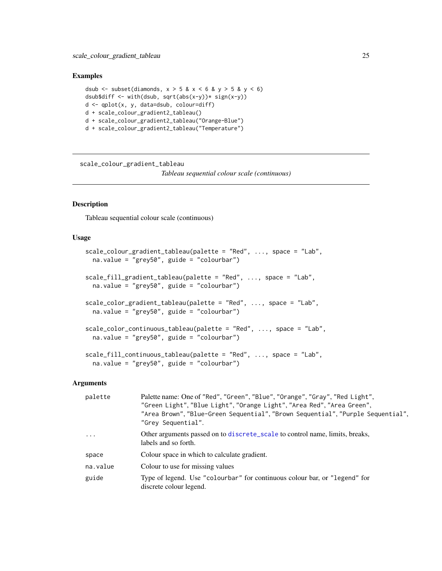#### <span id="page-24-0"></span>Examples

```
dsub \le subset(diamonds, x > 5 & x < 6 & y > 5 & y < 6)
dsub$diff \le- with(dsub, sqrt(abs(x-y))* sign(x-y))
d <- qplot(x, y, data=dsub, colour=diff)
d + scale_colour_gradient2_tableau()
d + scale_colour_gradient2_tableau("Orange-Blue")
d + scale_colour_gradient2_tableau("Temperature")
```
<span id="page-24-2"></span>scale\_colour\_gradient\_tableau

*Tableau sequential colour scale (continuous)*

## <span id="page-24-1"></span>Description

Tableau sequential colour scale (continuous)

#### Usage

```
scale_colour_gradient_tableau(palette = "Red", ..., space = "Lab",
 na.value = "grey50", guide = "colourbar")
scale_fill_gradient_tableau(palette = "Red", ..., space = "Lab",
 na.value = "grey50", guide = "colourbar")
scale_color_gradient_tableau(palette = "Red", ..., space = "Lab",
  na.value = "grey50", guide = "colourbar")
scale_color_continuous_tableau(palette = "Red", ..., space = "Lab",
 na.value = "grey50", guide = "colourbar")
scale_fill_continuous_tableau(palette = "Red", ..., space = "Lab",
  na.value = "grey50", guide = "colourbar")
```
### Arguments

| palette    | Palette name: One of "Red", "Green", "Blue", "Orange", "Gray", "Red Light",<br>"Green Light", "Blue Light", "Orange Light", "Area Red", "Area Green",<br>"Area Brown", "Blue-Green Sequential", "Brown Sequential", "Purple Sequential",<br>"Grey Sequential". |
|------------|----------------------------------------------------------------------------------------------------------------------------------------------------------------------------------------------------------------------------------------------------------------|
| $\ddots$ . | Other arguments passed on to discrete_scale to control name, limits, breaks,<br>labels and so forth.                                                                                                                                                           |
| space      | Colour space in which to calculate gradient.                                                                                                                                                                                                                   |
| na.value   | Colour to use for missing values                                                                                                                                                                                                                               |
| guide      | Type of legend. Use "colourbar" for continuous colour bar, or "legend" for<br>discrete colour legend.                                                                                                                                                          |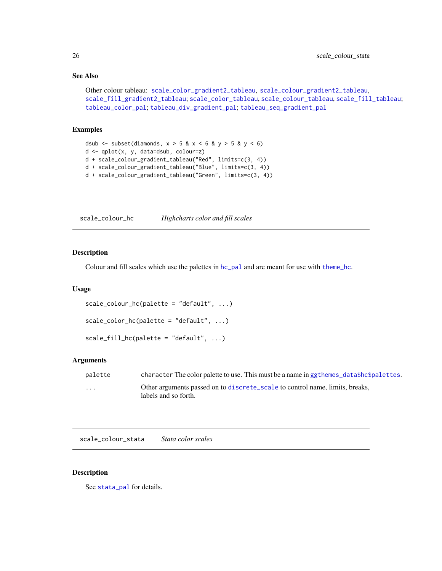## See Also

```
Other colour tableau: scale_color_gradient2_tableau, scale_colour_gradient2_tableau,
scale_fill_gradient2_tableau; scale_color_tableau, scale_colour_tableau, scale_fill_tableau;
tableau_color_pal; tableau_div_gradient_pal; tableau_seq_gradient_pal
```
#### Examples

```
dsub \le subset(diamonds, x > 5 & x < 6 & y > 5 & y < 6)
d <- qplot(x, y, data=dsub, colour=z)
d + scale_colour_gradient_tableau("Red", limits=c(3, 4))
d + scale_colour_gradient_tableau("Blue", limits=c(3, 4))
d + scale_colour_gradient_tableau("Green", limits=c(3, 4))
```
scale\_colour\_hc *Highcharts color and fill scales*

#### Description

Colour and fill scales which use the palettes in  $hc\_pal$  and are meant for use with [theme\\_hc](#page-50-1).

#### Usage

```
scale_colour_hc(palette = "default", ...)
scale_color_hc(palette = "default", ...)
scale_fill_hc(palette = "default", \dots)
```
#### Arguments

| palette | character The color palette to use. This must be a name in ggthemes_data\$hc\$palettes.              |
|---------|------------------------------------------------------------------------------------------------------|
| .       | Other arguments passed on to discrete_scale to control name, limits, breaks,<br>labels and so forth. |

scale\_colour\_stata *Stata color scales*

## Description

See [stata\\_pal](#page-39-1) for details.

<span id="page-25-0"></span>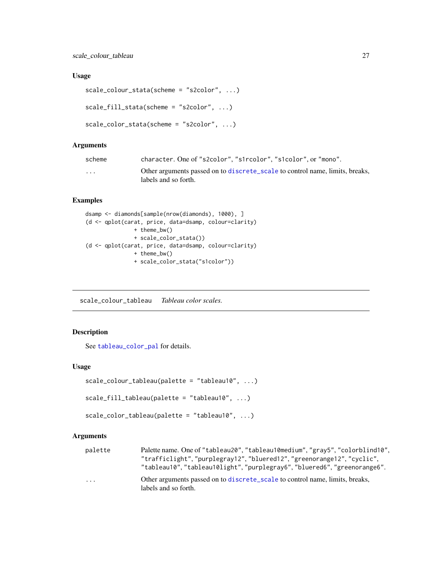## <span id="page-26-0"></span>Usage

```
scale_colour_stata(scheme = "s2color", ...)
scale_fill_stata(scheme = "s2color", ...)
scale_color_stata(scheme = "s2color", ...)
```
#### Arguments

| scheme | character. One of "s2color", "s1rcolor", "s1color", or "mono".                                       |
|--------|------------------------------------------------------------------------------------------------------|
| .      | Other arguments passed on to discrete_scale to control name, limits, breaks,<br>labels and so forth. |

## Examples

```
dsamp <- diamonds[sample(nrow(diamonds), 1000), ]
(d <- qplot(carat, price, data=dsamp, colour=clarity)
              + theme_bw()
              + scale_color_stata())
(d <- qplot(carat, price, data=dsamp, colour=clarity)
              + theme_bw()
               + scale_color_stata("s1color"))
```
<span id="page-26-2"></span>scale\_colour\_tableau *Tableau color scales.*

## <span id="page-26-1"></span>Description

See [tableau\\_color\\_pal](#page-41-1) for details.

## Usage

```
scale_colour_tableau(palette = "tableau10", ...)
```

```
scale_fill_tableau(palette = "tableau10", ...)
```

```
scale_color_tableau(palette = "tableau10", ...)
```
## Arguments

| palette  | Palette name. One of "tableau20", "tableau10medium", "gray5", "colorblind10",<br>"trafficlight","purplegray12","bluered12","greenorange12","cyclic",<br>"tableau10", "tableau10light", "purplegray6", "bluered6", "greenorange6". |
|----------|-----------------------------------------------------------------------------------------------------------------------------------------------------------------------------------------------------------------------------------|
| $\cdots$ | Other arguments passed on to discrete_scale to control name, limits, breaks,<br>labels and so forth.                                                                                                                              |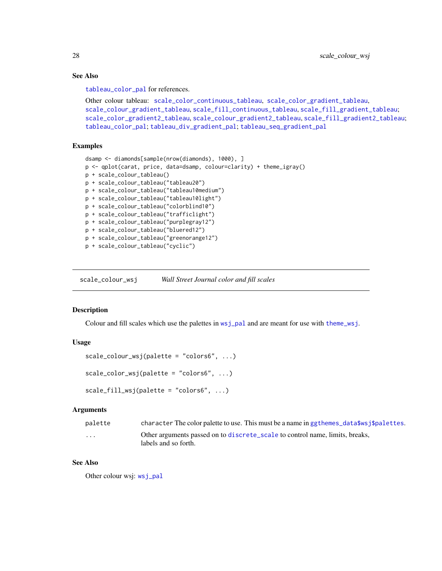## See Also

[tableau\\_color\\_pal](#page-41-1) for references.

```
Other colour tableau: scale_color_continuous_tableau, scale_color_gradient_tableau,
scale_colour_gradient_tableau, scale_fill_continuous_tableau, scale_fill_gradient_tableau;
scale_color_gradient2_tableau, scale_colour_gradient2_tableau, scale_fill_gradient2_tableau;
tableau_color_pal; tableau_div_gradient_pal; tableau_seq_gradient_pal
```
## Examples

```
dsamp <- diamonds[sample(nrow(diamonds), 1000), ]
p <- qplot(carat, price, data=dsamp, colour=clarity) + theme_igray()
p + scale_colour_tableau()
p + scale_colour_tableau("tableau20")
p + scale_colour_tableau("tableau10medium")
p + scale_colour_tableau("tableau10light")
p + scale_colour_tableau("colorblind10")
p + scale_colour_tableau("trafficlight")
p + scale_colour_tableau("purplegray12")
p + scale_colour_tableau("bluered12")
p + scale_colour_tableau("greenorange12")
p + scale_colour_tableau("cyclic")
```
<span id="page-27-2"></span>scale\_colour\_wsj *Wall Street Journal color and fill scales*

#### <span id="page-27-1"></span>Description

Colour and fill scales which use the palettes in [wsj\\_pal](#page-58-1) and are meant for use with [theme\\_wsj](#page-56-1).

## Usage

```
scale_colour_wsj(palette = "colors6", ...)
scale_color_wsj(palette = "colors6", ...)
```

```
scale_fill\_wsj(palette = "colors6", ...)
```
#### Arguments

| palette  | character The color palette to use. This must be a name in getheres $\text{data}\$ s is palettes.    |
|----------|------------------------------------------------------------------------------------------------------|
| $\cdots$ | Other arguments passed on to discrete_scale to control name, limits, breaks,<br>labels and so forth. |

## See Also

Other colour wsj: [wsj\\_pal](#page-58-1)

<span id="page-27-0"></span>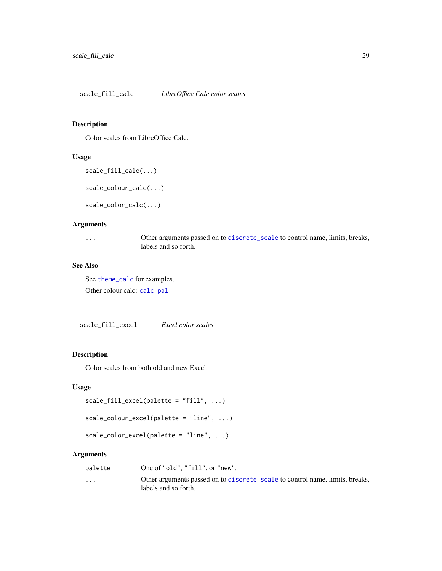<span id="page-28-2"></span><span id="page-28-1"></span><span id="page-28-0"></span>Color scales from LibreOffice Calc.

## Usage

```
scale_fill_calc(...)
```
scale\_colour\_calc(...)

scale\_color\_calc(...)

#### Arguments

... Other arguments passed on to [discrete\\_scale](#page-0-0) to control name, limits, breaks, labels and so forth.

## See Also

See [theme\\_calc](#page-44-1) for examples. Other colour calc: [calc\\_pal](#page-5-1)

<span id="page-28-4"></span>scale\_fill\_excel *Excel color scales*

#### <span id="page-28-3"></span>Description

Color scales from both old and new Excel.

## Usage

```
scale_fill_excel(palette = "fill", ...)
```

```
scale_colour_excel(palette = "line", ...)
```

```
scale_color_excel(palette = "line", ...)
```
### Arguments

| palette  | One of "old", "fill", or "new".                                              |
|----------|------------------------------------------------------------------------------|
| $\cdots$ | Other arguments passed on to discrete_scale to control name, limits, breaks, |
|          | labels and so forth.                                                         |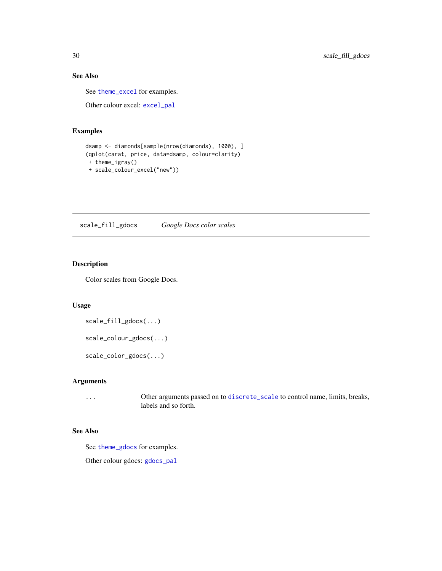## See Also

See [theme\\_excel](#page-46-1) for examples.

Other colour excel: [excel\\_pal](#page-9-1)

## Examples

```
dsamp <- diamonds[sample(nrow(diamonds), 1000), ]
(qplot(carat, price, data=dsamp, colour=clarity)
+ theme_igray()
+ scale_colour_excel("new"))
```
<span id="page-29-2"></span>scale\_fill\_gdocs *Google Docs color scales*

## <span id="page-29-1"></span>Description

Color scales from Google Docs.

## Usage

```
scale_fill_gdocs(...)
```

```
scale_colour_gdocs(...)
```
scale\_color\_gdocs(...)

## Arguments

... Other arguments passed on to [discrete\\_scale](#page-0-0) to control name, limits, breaks, labels and so forth.

#### See Also

See [theme\\_gdocs](#page-49-1) for examples.

Other colour gdocs: [gdocs\\_pal](#page-12-2)

<span id="page-29-0"></span>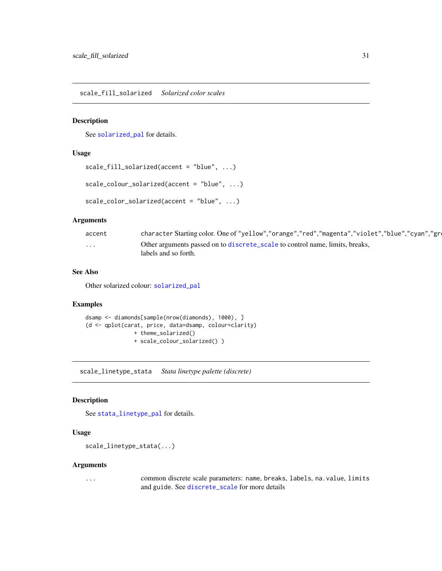<span id="page-30-2"></span><span id="page-30-0"></span>scale\_fill\_solarized *Solarized color scales*

#### <span id="page-30-1"></span>Description

See [solarized\\_pal](#page-38-1) for details.

#### Usage

```
scale_fill_solarized(accent = "blue", ...)
```

```
scale_colour_solarized(accent = "blue", ...)
```

```
scale_color_solarized(accent = "blue", ...)
```
#### Arguments

| accent   | character Starting color. One of "yellow","orange","red","magenta","violet","blue","cyan","gre       |
|----------|------------------------------------------------------------------------------------------------------|
| $\cdots$ | Other arguments passed on to discrete_scale to control name, limits, breaks,<br>labels and so forth. |

## See Also

Other solarized colour: [solarized\\_pal](#page-38-1)

## Examples

```
dsamp <- diamonds[sample(nrow(diamonds), 1000), ]
(d <- qplot(carat, price, data=dsamp, colour=clarity)
              + theme_solarized()
              + scale_colour_solarized() )
```
<span id="page-30-3"></span>scale\_linetype\_stata *Stata linetype palette (discrete)*

## Description

See [stata\\_linetype\\_pal](#page-38-2) for details.

## Usage

```
scale_linetype_stata(...)
```
## Arguments

... common discrete scale parameters: name, breaks, labels, na.value, limits and guide. See [discrete\\_scale](#page-0-0) for more details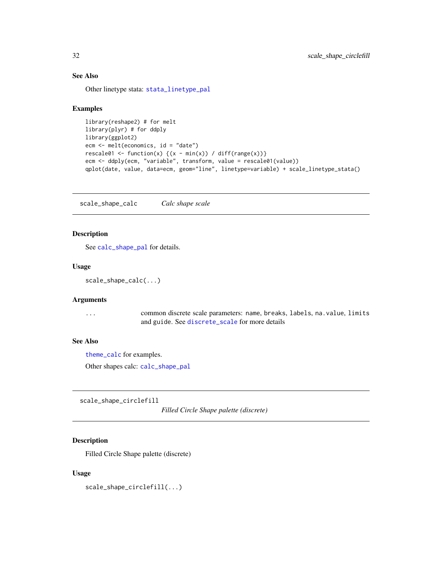## See Also

Other linetype stata: [stata\\_linetype\\_pal](#page-38-2)

#### Examples

```
library(reshape2) # for melt
library(plyr) # for ddply
library(ggplot2)
ecm <- melt(economics, id = "date")
rescale01 <- function(x) {(x - min(x)) / diff(range(x))}
ecm <- ddply(ecm, "variable", transform, value = rescale01(value))
qplot(date, value, data=ecm, geom="line", linetype=variable) + scale_linetype_stata()
```
<span id="page-31-1"></span>scale\_shape\_calc *Calc shape scale*

## Description

See [calc\\_shape\\_pal](#page-5-2) for details.

## Usage

```
scale_shape_calc(...)
```
#### Arguments

... common discrete scale parameters: name, breaks, labels, na.value, limits and guide. See [discrete\\_scale](#page-0-0) for more details

## See Also

[theme\\_calc](#page-44-1) for examples.

Other shapes calc: [calc\\_shape\\_pal](#page-5-2)

<span id="page-31-2"></span>scale\_shape\_circlefill

*Filled Circle Shape palette (discrete)*

## Description

Filled Circle Shape palette (discrete)

#### Usage

scale\_shape\_circlefill(...)

<span id="page-31-0"></span>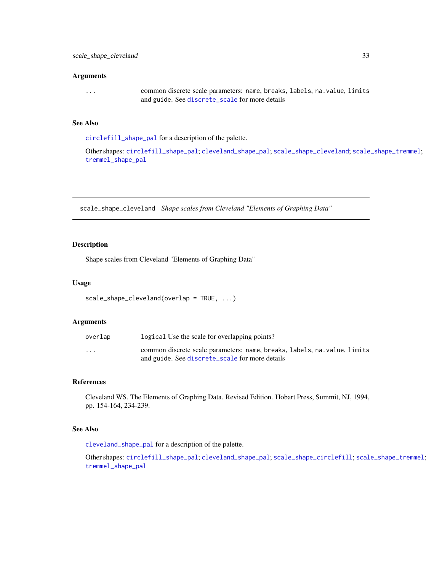#### <span id="page-32-0"></span>Arguments

... common discrete scale parameters: name, breaks, labels, na.value, limits and guide. See [discrete\\_scale](#page-0-0) for more details

## See Also

[circlefill\\_shape\\_pal](#page-6-2) for a description of the palette.

Other shapes: [circlefill\\_shape\\_pal](#page-6-2); [cleveland\\_shape\\_pal](#page-6-1); [scale\\_shape\\_cleveland](#page-32-1); [scale\\_shape\\_tremmel](#page-34-1); [tremmel\\_shape\\_pal](#page-57-1)

<span id="page-32-1"></span>scale\_shape\_cleveland *Shape scales from Cleveland "Elements of Graphing Data"*

#### Description

Shape scales from Cleveland "Elements of Graphing Data"

#### Usage

```
scale_shape_cleveland(overlap = TRUE, ...)
```
## Arguments

| overlap  | logical Use the scale for overlapping points?                             |
|----------|---------------------------------------------------------------------------|
| $\cdots$ | common discrete scale parameters: name, breaks, labels, na. value, limits |
|          | and guide. See discrete_scale for more details                            |

#### References

Cleveland WS. The Elements of Graphing Data. Revised Edition. Hobart Press, Summit, NJ, 1994, pp. 154-164, 234-239.

## See Also

[cleveland\\_shape\\_pal](#page-6-1) for a description of the palette.

Other shapes: [circlefill\\_shape\\_pal](#page-6-2); [cleveland\\_shape\\_pal](#page-6-1); [scale\\_shape\\_circlefill](#page-31-2); [scale\\_shape\\_tremmel](#page-34-1); [tremmel\\_shape\\_pal](#page-57-1)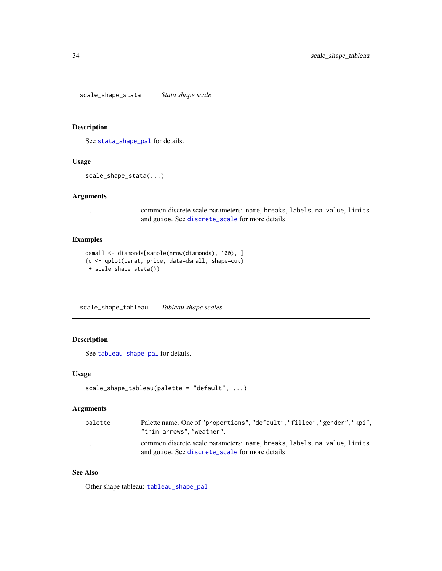<span id="page-33-1"></span><span id="page-33-0"></span>scale\_shape\_stata *Stata shape scale*

## Description

See [stata\\_shape\\_pal](#page-39-2) for details.

#### Usage

```
scale_shape_stata(...)
```
#### Arguments

... common discrete scale parameters: name, breaks, labels, na.value, limits and guide. See [discrete\\_scale](#page-0-0) for more details

#### Examples

```
dsmall <- diamonds[sample(nrow(diamonds), 100), ]
(d <- qplot(carat, price, data=dsmall, shape=cut)
+ scale_shape_stata())
```
<span id="page-33-2"></span>scale\_shape\_tableau *Tableau shape scales*

## Description

See [tableau\\_shape\\_pal](#page-43-2) for details.

## Usage

```
scale_shape_tableau(palette = "default", ...)
```
#### Arguments

| palette | Palette name. One of "proportions", "default", "filled", "gender", "kpi",<br>"thin arrows"."weather".                       |
|---------|-----------------------------------------------------------------------------------------------------------------------------|
| .       | common discrete scale parameters: name, breaks, labels, na. value, limits<br>and guide. See discrete_scale for more details |

## See Also

Other shape tableau: [tableau\\_shape\\_pal](#page-43-2)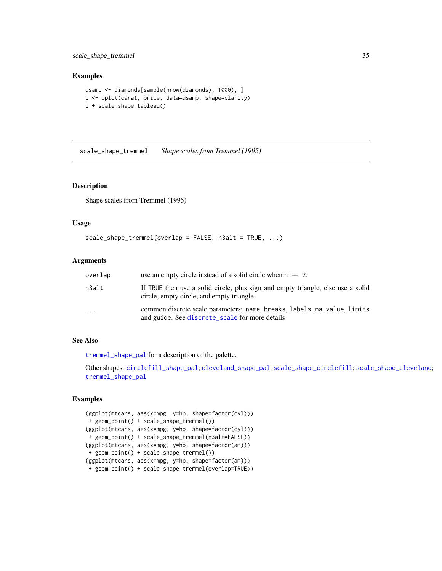<span id="page-34-0"></span>scale\_shape\_tremmel 35

#### Examples

```
dsamp <- diamonds[sample(nrow(diamonds), 1000), ]
p <- qplot(carat, price, data=dsamp, shape=clarity)
p + scale_shape_tableau()
```
<span id="page-34-1"></span>scale\_shape\_tremmel *Shape scales from Tremmel (1995)*

#### Description

Shape scales from Tremmel (1995)

#### Usage

```
scale_shape_tremmel(overlap = FALSE, n3alt = TRUE, ...)
```
#### Arguments

| overlap  | use an empty circle instead of a solid circle when $n == 2$ .                                                                |
|----------|------------------------------------------------------------------------------------------------------------------------------|
| n3alt    | If TRUE then use a solid circle, plus sign and empty triangle, else use a solid<br>circle, empty circle, and empty triangle. |
| $\cdots$ | common discrete scale parameters: name, breaks, labels, na. value, limits<br>and guide. See discrete_scale for more details  |

## See Also

[tremmel\\_shape\\_pal](#page-57-1) for a description of the palette.

Other shapes: [circlefill\\_shape\\_pal](#page-6-2); [cleveland\\_shape\\_pal](#page-6-1); [scale\\_shape\\_circlefill](#page-31-2); [scale\\_shape\\_cleveland](#page-32-1); [tremmel\\_shape\\_pal](#page-57-1)

#### Examples

```
(ggplot(mtcars, aes(x=mpg, y=hp, shape=factor(cyl)))
+ geom_point() + scale_shape_tremmel())
(ggplot(mtcars, aes(x=mpg, y=hp, shape=factor(cyl)))
+ geom_point() + scale_shape_tremmel(n3alt=FALSE))
(ggplot(mtcars, aes(x=mpg, y=hp, shape=factor(am)))
+ geom_point() + scale_shape_tremmel())
(ggplot(mtcars, aes(x=mpg, y=hp, shape=factor(am)))
+ geom_point() + scale_shape_tremmel(overlap=TRUE))
```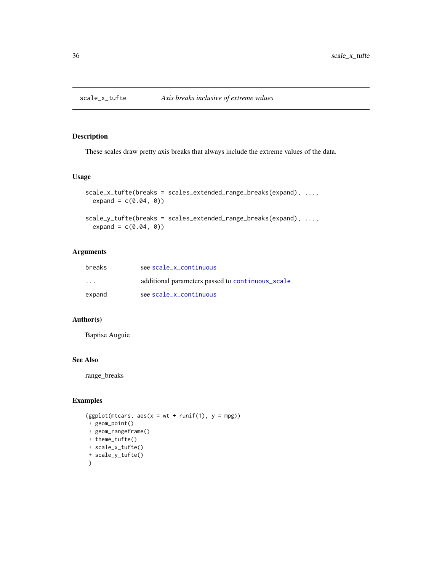<span id="page-35-2"></span><span id="page-35-1"></span><span id="page-35-0"></span>

These scales draw pretty axis breaks that always include the extreme values of the data.

#### Usage

```
scale_x_tufte(breaks = scales_extended_range_breaks(expand), ...,
 expand = c(0.04, 0))scale_y_tufte(breaks = scales_extended_range_breaks(expand), ...,
 expand = c(0.04, 0)
```
## Arguments

| breaks                  | see scale x continuous                           |
|-------------------------|--------------------------------------------------|
| $\cdot$ $\cdot$ $\cdot$ | additional parameters passed to continuous_scale |
| expand                  | see scale_x_continuous                           |

#### Author(s)

Baptise Auguie

#### See Also

range\_breaks

## Examples

```
(ggplot(mtcars, \text{aes}(x = wt + runif(1), y = mpg))
+ geom_point()
+ geom_rangeframe()
+ theme_tufte()
+ scale_x_tufte()
+ scale_y_tufte()
\mathcal{L}
```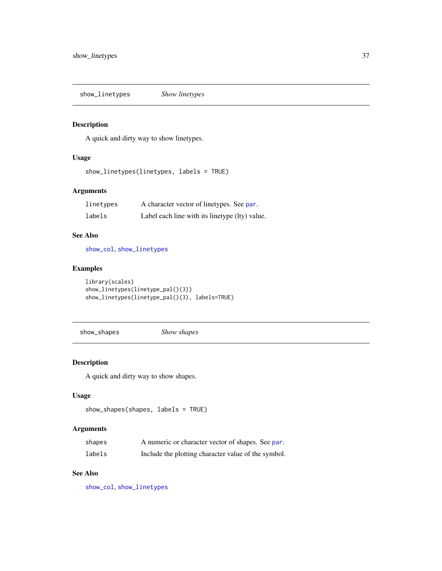<span id="page-36-1"></span><span id="page-36-0"></span>show\_linetypes *Show linetypes*

## Description

A quick and dirty way to show linetypes.

## Usage

show\_linetypes(linetypes, labels = TRUE)

## Arguments

| linetypes | A character vector of linetypes. See par.      |
|-----------|------------------------------------------------|
| labels    | Label each line with its linetype (lty) value. |

## See Also

[show\\_col](#page-0-0), [show\\_linetypes](#page-36-1)

## Examples

```
library(scales)
show_linetypes(linetype_pal()(3))
show_linetypes(linetype_pal()(3), labels=TRUE)
```
show\_shapes *Show shapes*

## Description

A quick and dirty way to show shapes.

#### Usage

```
show_shapes(shapes, labels = TRUE)
```
## Arguments

| shapes | A numeric or character vector of shapes. See par.   |
|--------|-----------------------------------------------------|
| labels | Include the plotting character value of the symbol. |

## See Also

[show\\_col](#page-0-0), [show\\_linetypes](#page-36-1)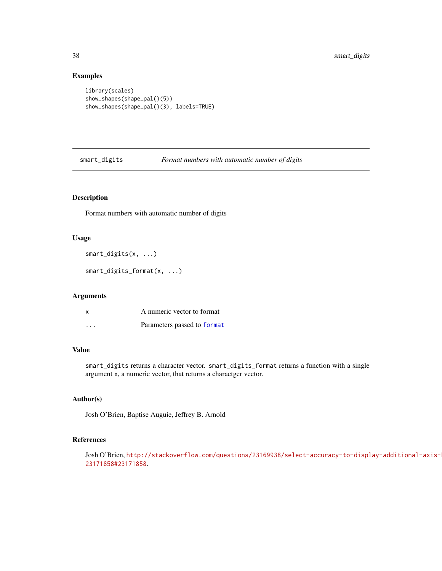#### Examples

```
library(scales)
show_shapes(shape_pal()(5))
show_shapes(shape_pal()(3), labels=TRUE)
```
smart\_digits *Format numbers with automatic number of digits*

## Description

Format numbers with automatic number of digits

## Usage

smart\_digits(x, ...)

smart\_digits\_format(x, ...)

#### Arguments

| x        | A numeric vector to format  |
|----------|-----------------------------|
| $\cdots$ | Parameters passed to format |

## Value

smart\_digits returns a character vector. smart\_digits\_format returns a function with a single argument x, a numeric vector, that returns a charactger vector.

## Author(s)

Josh O'Brien, Baptise Auguie, Jeffrey B. Arnold

## References

Josh O'Brien, [http://stackoverflow.com/questions/23169938/select-accuracy-to-displ](http://stackoverflow.com/questions/23169938/select-accuracy-to-display-additional-axis-breaks/23171858#23171858)ay-additional-axis-breaks/ [23171858#23171858](http://stackoverflow.com/questions/23169938/select-accuracy-to-display-additional-axis-breaks/23171858#23171858).

<span id="page-37-0"></span>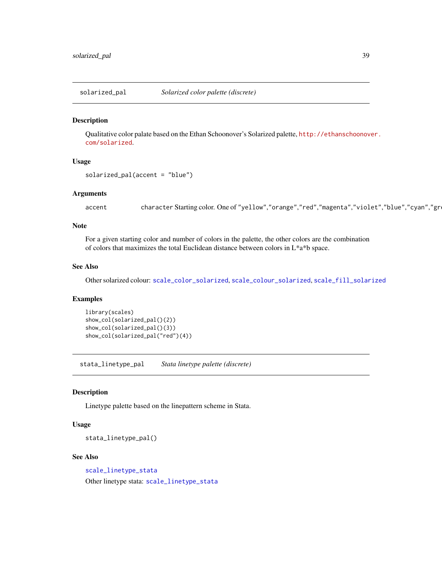<span id="page-38-1"></span><span id="page-38-0"></span>

Qualitative color palate based on the Ethan Schoonover's Solarized palette, [http://ethanschoonov](http://ethanschoonover.com/solarized)er. [com/solarized](http://ethanschoonover.com/solarized).

#### Usage

```
solarized_pal(accent = "blue")
```
## Arguments

accent character Starting color. One of "yellow","orange","red","magenta","violet","blue","cyan","gr

## Note

For a given starting color and number of colors in the palette, the other colors are the combination of colors that maximizes the total Euclidean distance between colors in L\*a\*b space.

## See Also

Other solarized colour: [scale\\_color\\_solarized](#page-30-1), [scale\\_colour\\_solarized](#page-30-1), [scale\\_fill\\_solarized](#page-30-2)

#### Examples

```
library(scales)
show_col(solarized_pal()(2))
show_col(solarized_pal()(3))
show_col(solarized_pal("red")(4))
```
<span id="page-38-2"></span>stata\_linetype\_pal *Stata linetype palette (discrete)*

## Description

Linetype palette based on the linepattern scheme in Stata.

#### Usage

stata\_linetype\_pal()

#### See Also

[scale\\_linetype\\_stata](#page-30-3)

Other linetype stata: [scale\\_linetype\\_stata](#page-30-3)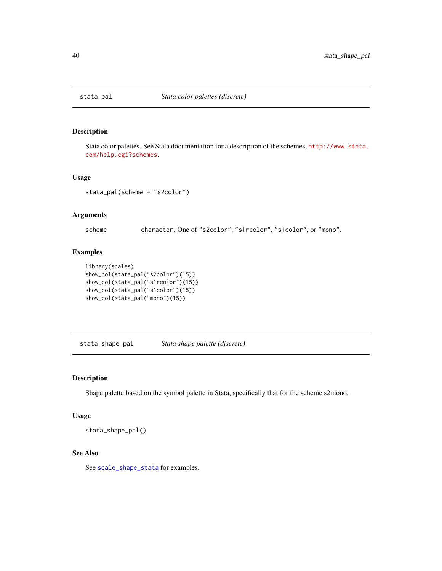<span id="page-39-1"></span><span id="page-39-0"></span>

Stata color palettes. See Stata documentation for a description of the schemes, [http://www.stata.](http://www.stata.com/help.cgi?schemes) [com/help.cgi?schemes](http://www.stata.com/help.cgi?schemes).

#### Usage

stata\_pal(scheme = "s2color")

#### Arguments

scheme character. One of "s2color", "s1rcolor", "s1color", or "mono".

## Examples

```
library(scales)
show_col(stata_pal("s2color")(15))
show_col(stata_pal("s1rcolor")(15))
show_col(stata_pal("s1color")(15))
show_col(stata_pal("mono")(15))
```
<span id="page-39-2"></span>stata\_shape\_pal *Stata shape palette (discrete)*

#### Description

Shape palette based on the symbol palette in Stata, specifically that for the scheme s2mono.

## Usage

stata\_shape\_pal()

## See Also

See [scale\\_shape\\_stata](#page-33-1) for examples.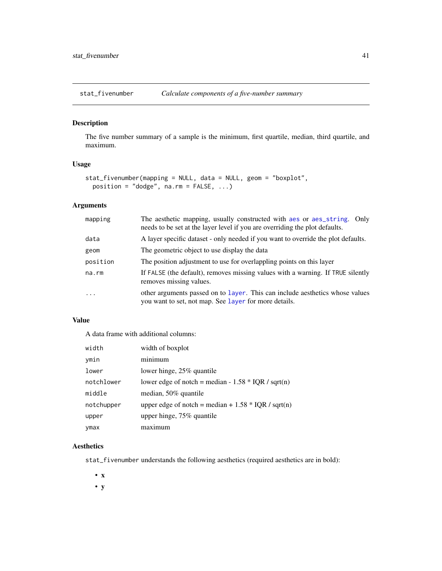<span id="page-40-0"></span>

The five number summary of a sample is the minimum, first quartile, median, third quartile, and maximum.

## Usage

```
stat_fivenumber(mapping = NULL, data = NULL, geom = "boxplot",
 position = "dodge", na.rm = FALSE, ...)
```
## Arguments

| mapping  | The aesthetic mapping, usually constructed with aes or aes_string.<br>Only<br>needs to be set at the layer level if you are overriding the plot defaults. |
|----------|-----------------------------------------------------------------------------------------------------------------------------------------------------------|
| data     | A layer specific dataset - only needed if you want to override the plot defaults.                                                                         |
| geom     | The geometric object to use display the data                                                                                                              |
| position | The position adjustment to use for overlappling points on this layer                                                                                      |
| na.rm    | If FALSE (the default), removes missing values with a warning. If TRUE silently<br>removes missing values.                                                |
| $\cdot$  | other arguments passed on to layer. This can include aesthetics whose values<br>you want to set, not map. See layer for more details.                     |

## Value

A data frame with additional columns:

| width      | width of boxplot                                      |
|------------|-------------------------------------------------------|
| ymin       | minimum                                               |
| lower      | lower hinge, 25% quantile                             |
| notchlower | lower edge of notch = median - $1.58 * IQR / sqrt(n)$ |
| middle     | median, 50% quantile                                  |
| notchupper | upper edge of notch = median + $1.58 * IQR / sqrt(n)$ |
| upper      | upper hinge, $75\%$ quantile                          |
| ymax       | $max_1$ mum                                           |

## Aesthetics

stat\_fivenumber understands the following aesthetics (required aesthetics are in bold):

• x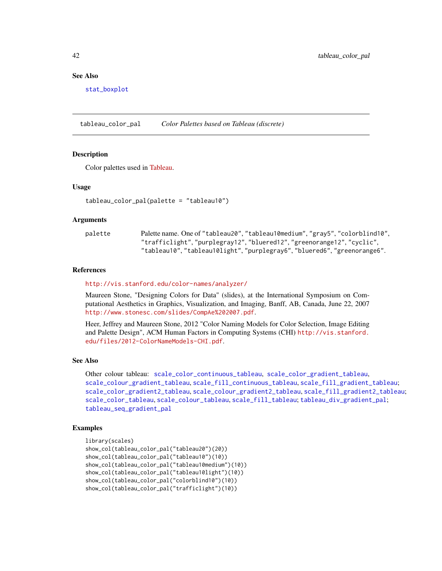#### See Also

[stat\\_boxplot](#page-0-0)

<span id="page-41-1"></span>tableau\_color\_pal *Color Palettes based on Tableau (discrete)*

#### Description

Color palettes used in [Tableau.](http://www.tableausoftware.com/)

#### Usage

tableau\_color\_pal(palette = "tableau10")

#### Arguments

| palette | Palette name. One of "tableau20", "tableau10medium", "gray5", "colorblind10", |
|---------|-------------------------------------------------------------------------------|
|         | "trafficlight","purplegray12","bluered12","greenorange12","cyclic",           |
|         | "tableau10", "tableau10light", "purplegray6", "bluered6", "greenorange6".     |

#### References

#### <http://vis.stanford.edu/color-names/analyzer/>

Maureen Stone, "Designing Colors for Data" (slides), at the International Symposium on Computational Aesthetics in Graphics, Visualization, and Imaging, Banff, AB, Canada, June 22, 2007 <http://www.stonesc.com/slides/CompAe%202007.pdf>.

Heer, Jeffrey and Maureen Stone, 2012 "Color Naming Models for Color Selection, Image Editing and Palette Design", ACM Human Factors in Computing Systems (CHI) [http://vis.stanford.](http://vis.stanford.edu/files/2012-ColorNameModels-CHI.pdf) [edu/files/2012-ColorNameModels-CHI.pdf](http://vis.stanford.edu/files/2012-ColorNameModels-CHI.pdf).

## See Also

Other colour tableau: [scale\\_color\\_continuous\\_tableau](#page-24-1), [scale\\_color\\_gradient\\_tableau](#page-24-1), [scale\\_colour\\_gradient\\_tableau](#page-24-2), [scale\\_fill\\_continuous\\_tableau](#page-24-1), [scale\\_fill\\_gradient\\_tableau](#page-24-1); [scale\\_color\\_gradient2\\_tableau](#page-23-1), [scale\\_colour\\_gradient2\\_tableau](#page-23-2), [scale\\_fill\\_gradient2\\_tableau](#page-23-1); [scale\\_color\\_tableau](#page-26-1), [scale\\_colour\\_tableau](#page-26-2), [scale\\_fill\\_tableau](#page-26-1); [tableau\\_div\\_gradient\\_pal](#page-42-1); [tableau\\_seq\\_gradient\\_pal](#page-43-1)

## Examples

```
library(scales)
show_col(tableau_color_pal("tableau20")(20))
show_col(tableau_color_pal("tableau10")(10))
show_col(tableau_color_pal("tableau10medium")(10))
show_col(tableau_color_pal("tableau10light")(10))
show_col(tableau_color_pal("colorblind10")(10))
show_col(tableau_color_pal("trafficlight")(10))
```
<span id="page-41-0"></span>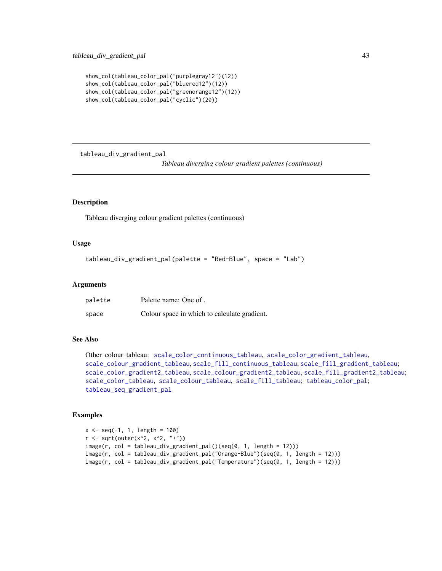```
show_col(tableau_color_pal("purplegray12")(12))
show_col(tableau_color_pal("bluered12")(12))
show_col(tableau_color_pal("greenorange12")(12))
show_col(tableau_color_pal("cyclic")(20))
```
<span id="page-42-1"></span>tableau\_div\_gradient\_pal

*Tableau diverging colour gradient palettes (continuous)*

## Description

Tableau diverging colour gradient palettes (continuous)

#### Usage

```
tableau_div_gradient_pal(palette = "Red-Blue", space = "Lab")
```
#### Arguments

| palette | Palette name: One of.                        |
|---------|----------------------------------------------|
| space   | Colour space in which to calculate gradient. |

## See Also

```
Other colour tableau: scale_color_continuous_tableau, scale_color_gradient_tableau,
scale_colour_gradient_tableau, scale_fill_continuous_tableau, scale_fill_gradient_tableau;
scale_color_gradient2_tableau, scale_colour_gradient2_tableau, scale_fill_gradient2_tableau;
scale_color_tableau, scale_colour_tableau, scale_fill_tableau; tableau_color_pal;
tableau_seq_gradient_pal
```
#### Examples

```
x \leq -\text{seq}(-1, 1, \text{ length} = 100)r <- sqrt(outer(x^2, x^2, "+"))
image(r, col = tableau_div_gradient_pal()(seq(0, 1, length = 12)))
image(r, col = tableau_div_gradient_pal("Orange-Blue")(seq(0, 1, length = 12)))
image(r, col = tableau_div_gradient_pal("Temperature")(seq(0, 1, length = 12)))
```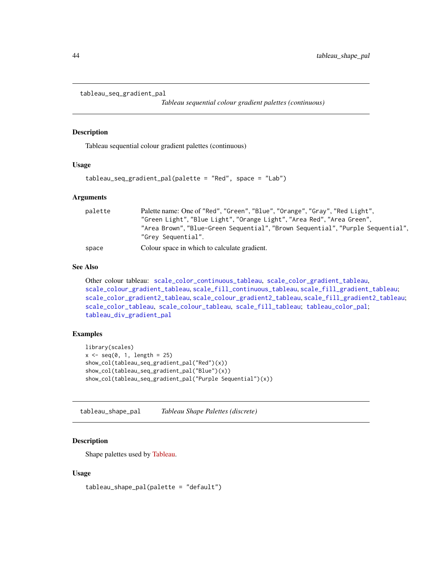```
tableau_seq_gradient_pal
```
*Tableau sequential colour gradient palettes (continuous)*

#### Description

Tableau sequential colour gradient palettes (continuous)

#### Usage

```
tableau_seq_gradient_pal(palette = "Red", space = "Lab")
```
#### Arguments

| palette | Palette name: One of "Red", "Green", "Blue", "Orange", "Gray", "Red Light",<br>"Green Light", "Blue Light", "Orange Light", "Area Red", "Area Green",<br>"Area Brown", "Blue-Green Sequential", "Brown Sequential", "Purple Sequential",<br>"Grey Sequential". |
|---------|----------------------------------------------------------------------------------------------------------------------------------------------------------------------------------------------------------------------------------------------------------------|
| space   | Colour space in which to calculate gradient.                                                                                                                                                                                                                   |

## See Also

```
Other colour tableau: scale_color_continuous_tableau, scale_color_gradient_tableau,
scale_colour_gradient_tableau, scale_fill_continuous_tableau, scale_fill_gradient_tableau;
scale_color_gradient2_tableau, scale_colour_gradient2_tableau, scale_fill_gradient2_tableau;
scale_color_tableau, scale_colour_tableau, scale_fill_tableau; tableau_color_pal;
tableau_div_gradient_pal
```
## Examples

```
library(scales)
x \leftarrow \text{seq}(0, 1, \text{ length} = 25)show_col(tableau_seq_gradient_pal("Red")(x))
show_col(tableau_seq_gradient_pal("Blue")(x))
show_col(tableau_seq_gradient_pal("Purple Sequential")(x))
```
<span id="page-43-2"></span>tableau\_shape\_pal *Tableau Shape Palettes (discrete)*

#### Description

Shape palettes used by [Tableau.](http://www.tableausoftware.com/)

#### Usage

tableau\_shape\_pal(palette = "default")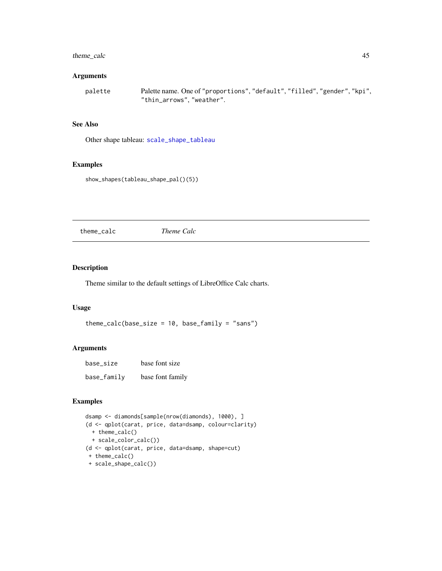## <span id="page-44-0"></span>theme\_calc 45

### Arguments

```
palette Palette name. One of "proportions", "default", "filled", "gender", "kpi",
                "thin_arrows", "weather".
```
## See Also

Other shape tableau: [scale\\_shape\\_tableau](#page-33-2)

## Examples

show\_shapes(tableau\_shape\_pal()(5))

<span id="page-44-1"></span>theme\_calc *Theme Calc*

#### Description

Theme similar to the default settings of LibreOffice Calc charts.

#### Usage

```
theme_calc(base_size = 10, base_family = "sans")
```
#### Arguments

| base_size   | base font size   |
|-------------|------------------|
| base_family | base font family |

### Examples

```
dsamp <- diamonds[sample(nrow(diamonds), 1000), ]
(d <- qplot(carat, price, data=dsamp, colour=clarity)
 + theme_calc()
 + scale_color_calc())
(d <- qplot(carat, price, data=dsamp, shape=cut)
+ theme_calc()
+ scale_shape_calc())
```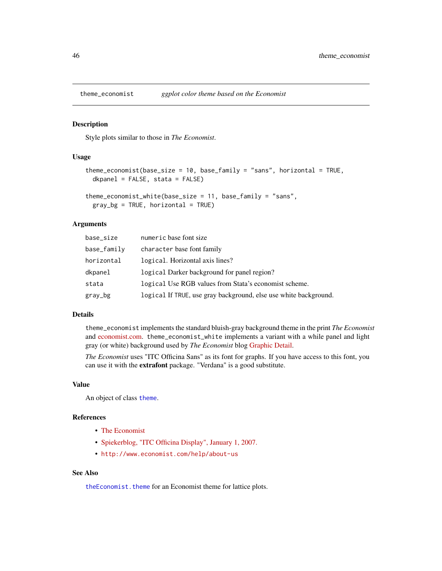<span id="page-45-1"></span><span id="page-45-0"></span>

Style plots similar to those in *The Economist*.

#### Usage

```
theme_economist(base_size = 10, base_family = "sans", horizontal = TRUE,
  dkpanel = FALSE, stata = FALSE)
```

```
theme_economist_white(base_size = 11, base_family = "sans",
 gray_b = TRUE, horizontal = TRUE
```
#### Arguments

| base_size   | numeric base font size                                           |
|-------------|------------------------------------------------------------------|
| base_family | character base font family                                       |
| horizontal  | logical. Horizontal axis lines?                                  |
| dkpanel     | logical Darker background for panel region?                      |
| stata       | logical Use RGB values from Stata's economist scheme.            |
| gray_bg     | logical If TRUE, use gray background, else use white background. |

#### Details

theme\_economist implements the standard bluish-gray background theme in the print *The Economist* and [economist.com.](http://economist.com) theme\_economist\_white implements a variant with a while panel and light gray (or white) background used by *The Economist* blog [Graphic Detail.](http://www.economist.com/blogs/graphicdetail)

*The Economist* uses "ITC Officina Sans" as its font for graphs. If you have access to this font, you can use it with the extrafont package. "Verdana" is a good substitute.

## Value

An object of class [theme](#page-0-0).

## References

- [The Economist](http://economist.com)
- [Spiekerblog, "ITC Officina Display", January 1, 2007.](http://spiekermann.com/en/itc-officina-display/)
- <http://www.economist.com/help/about-us>

## See Also

[theEconomist.theme](#page-0-0) for an Economist theme for lattice plots.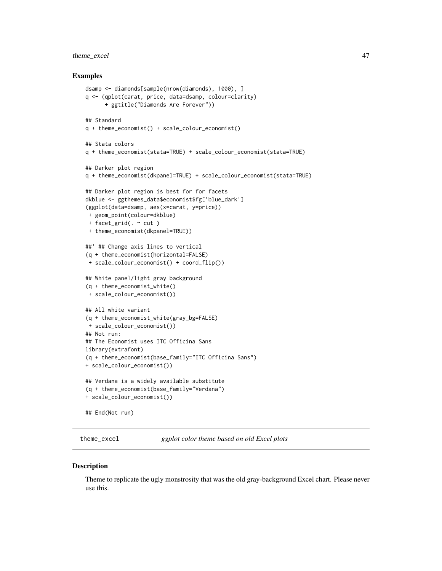## <span id="page-46-0"></span>theme\_excel 47

#### Examples

```
dsamp <- diamonds[sample(nrow(diamonds), 1000), ]
q <- (qplot(carat, price, data=dsamp, colour=clarity)
     + ggtitle("Diamonds Are Forever"))
## Standard
q + theme_economist() + scale_colour_economist()
## Stata colors
q + theme_economist(stata=TRUE) + scale_colour_economist(stata=TRUE)
## Darker plot region
q + theme_economist(dkpanel=TRUE) + scale_colour_economist(stata=TRUE)
## Darker plot region is best for for facets
dkblue <- ggthemes_data$economist$fg['blue_dark']
(ggplot(data=dsamp, aes(x=carat, y=price))
+ geom_point(colour=dkblue)
+ facet_grid(. ~ cut )
+ theme_economist(dkpanel=TRUE))
##' ## Change axis lines to vertical
(q + theme_economist(horizontal=FALSE)
+ scale_colour_economist() + coord_flip())
## White panel/light gray background
(q + theme_economist_white()
+ scale_colour_economist())
## All white variant
(q + theme_economist_white(gray_bg=FALSE)
+ scale_colour_economist())
## Not run:
## The Economist uses ITC Officina Sans
library(extrafont)
(q + theme_economist(base_family="ITC Officina Sans")
+ scale_colour_economist())
## Verdana is a widely available substitute
(q + theme_economist(base_family="Verdana")
+ scale_colour_economist())
## End(Not run)
```
<span id="page-46-1"></span>theme\_excel *ggplot color theme based on old Excel plots*

#### **Description**

Theme to replicate the ugly monstrosity that was the old gray-background Excel chart. Please never use this.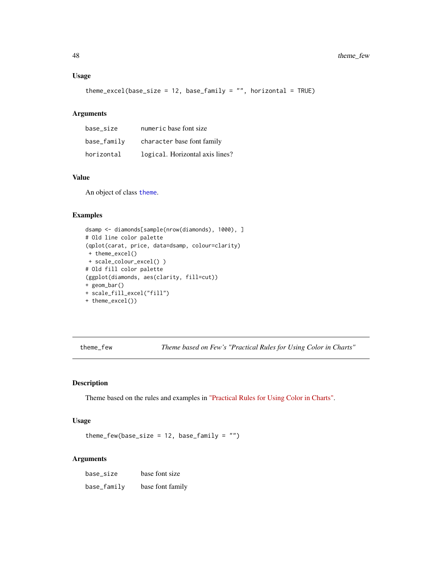## <span id="page-47-0"></span>Usage

```
theme_excel(base_size = 12, base_family = ", horizontal = TRUE)
```
#### Arguments

| base size   | numeric base font size          |
|-------------|---------------------------------|
| base_family | character base font family      |
| horizontal  | logical. Horizontal axis lines? |

## Value

An object of class [theme](#page-0-0).

#### Examples

```
dsamp <- diamonds[sample(nrow(diamonds), 1000), ]
# Old line color palette
(qplot(carat, price, data=dsamp, colour=clarity)
+ theme_excel()
+ scale_colour_excel() )
# Old fill color palette
(ggplot(diamonds, aes(clarity, fill=cut))
+ geom_bar()
+ scale_fill_excel("fill")
+ theme_excel())
```
theme\_few *Theme based on Few's "Practical Rules for Using Color in Charts"*

## Description

Theme based on the rules and examples in ["Practical Rules for Using Color in Charts".](http://www.perceptualedge.com/articles/visual_business_intelligence/rules_for_using_color.pdf)

## Usage

theme\_few(base\_size =  $12$ , base\_family = "")

#### Arguments

base\_size base font size base\_family base font family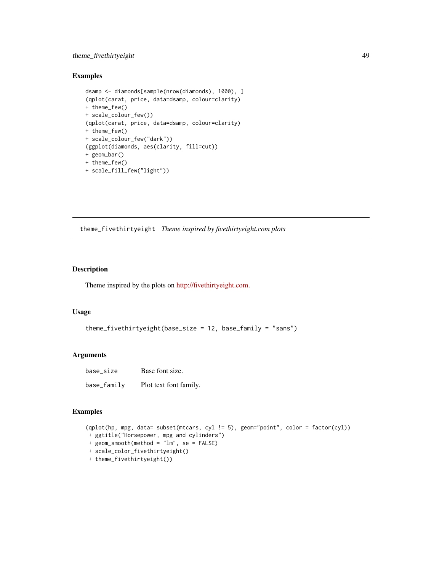## <span id="page-48-0"></span>theme\_fivethirtyeight 49

## Examples

```
dsamp <- diamonds[sample(nrow(diamonds), 1000), ]
(qplot(carat, price, data=dsamp, colour=clarity)
+ theme_few()
+ scale_colour_few())
(qplot(carat, price, data=dsamp, colour=clarity)
+ theme_few()
+ scale_colour_few("dark"))
(ggplot(diamonds, aes(clarity, fill=cut))
+ geom_bar()
+ theme_few()
+ scale_fill_few("light"))
```
<span id="page-48-1"></span>theme\_fivethirtyeight *Theme inspired by fivethirtyeight.com plots*

## Description

Theme inspired by the plots on [http://fivethirtyeight.com.](fivethirtyeight.com)

### Usage

```
theme_fivethirtyeight(base_size = 12, base_family = "sans")
```
## Arguments

| base size   | Base font size.        |
|-------------|------------------------|
| base_family | Plot text font family. |

## Examples

```
(qplot(hp, mpg, data= subset(mtcars, cyl != 5), geom="point", color = factor(cyl))
+ ggtitle("Horsepower, mpg and cylinders")
+ geom_smooth(method = "lm", se = FALSE)
+ scale_color_fivethirtyeight()
+ theme_fivethirtyeight())
```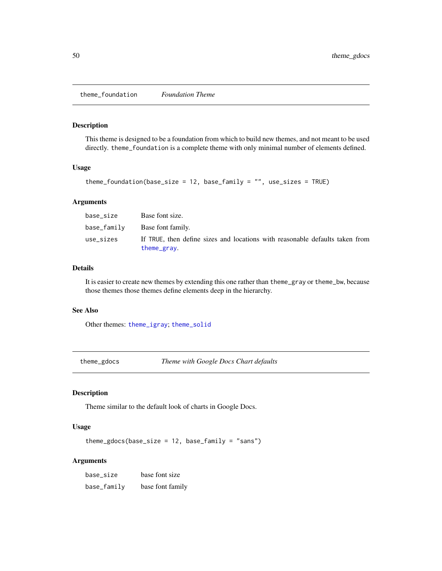<span id="page-49-2"></span><span id="page-49-0"></span>theme\_foundation *Foundation Theme*

#### Description

This theme is designed to be a foundation from which to build new themes, and not meant to be used directly. theme\_foundation is a complete theme with only minimal number of elements defined.

#### Usage

```
theme_foundation(base_size = 12, base_family = "", use_sizes = TRUE)
```
## Arguments

| base size   | Base font size.                                                                             |
|-------------|---------------------------------------------------------------------------------------------|
| base_family | Base font family.                                                                           |
| use_sizes   | If TRUE, then define sizes and locations with reasonable defaults taken from<br>theme_gray. |

#### Details

It is easier to create new themes by extending this one rather than theme\_gray or theme\_bw, because those themes those themes define elements deep in the hierarchy.

#### See Also

Other themes: [theme\\_igray](#page-51-2); [theme\\_solid](#page-54-1)

<span id="page-49-1"></span>theme\_gdocs *Theme with Google Docs Chart defaults*

## Description

Theme similar to the default look of charts in Google Docs.

#### Usage

```
theme_gdocs(base_size = 12, base_family = "sans")
```
#### Arguments

base\_size base font size base\_family base font family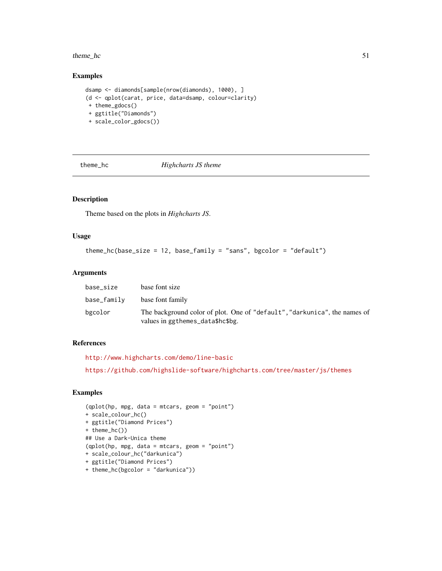#### <span id="page-50-0"></span>theme\_hc 51

## Examples

```
dsamp <- diamonds[sample(nrow(diamonds), 1000), ]
(d <- qplot(carat, price, data=dsamp, colour=clarity)
+ theme_gdocs()
+ ggtitle("Diamonds")
 + scale_color_gdocs())
```
<span id="page-50-1"></span>

theme\_hc *Highcharts JS theme*

## Description

Theme based on the plots in *Highcharts JS*.

### Usage

```
theme_hc(base_size = 12, base_family = "sans", bgcolor = "default")
```
## Arguments

| base size   | base font size                                                                                                |
|-------------|---------------------------------------------------------------------------------------------------------------|
| base_family | base font family                                                                                              |
| bgcolor     | The background color of plot. One of "default", "darkunica", the names of<br>values in ggthemes_data\$hc\$bg. |

## References

```
http://www.highcharts.com/demo/line-basic
https://github.com/highslide-software/highcharts.com/tree/master/js/themes
```
## Examples

```
(qplot(hp, mpg, data = mtcars, geom = "point")
+ scale_colour_hc()
+ ggtitle("Diamond Prices")
+ theme_hc())
## Use a Dark-Unica theme
(qplot(hp, mpg, data = mtcars, geom = "point")
+ scale_colour_hc("darkunica")
+ ggtitle("Diamond Prices")
+ theme_hc(bgcolor = "darkunica"))
```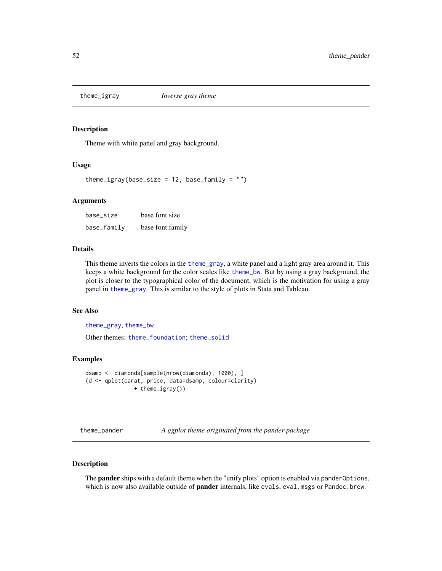<span id="page-51-2"></span><span id="page-51-0"></span>

Theme with white panel and gray background.

#### Usage

theme\_igray(base\_size =  $12$ , base\_family = "")

#### Arguments

| base_size   | base font size   |
|-------------|------------------|
| base_family | base font family |

#### Details

This theme inverts the colors in the [theme\\_gray](#page-0-0), a white panel and a light gray area around it. This keeps a white background for the color scales like [theme\\_bw](#page-0-0). But by using a gray background, the plot is closer to the typographical color of the document, which is the motivation for using a gray panel in [theme\\_gray](#page-0-0). This is similar to the style of plots in Stata and Tableau.

#### See Also

[theme\\_gray](#page-0-0), [theme\\_bw](#page-0-0)

Other themes: [theme\\_foundation](#page-49-2); [theme\\_solid](#page-54-1)

#### Examples

```
dsamp <- diamonds[sample(nrow(diamonds), 1000), ]
(d <- qplot(carat, price, data=dsamp, colour=clarity)
              + theme_igray())
```
<span id="page-51-1"></span>theme\_pander *A ggplot theme originated from the pander package*

## Description

The **pander** ships with a default theme when the "unify plots" option is enabled via pander Options, which is now also available outside of **pander** internals, like evals, eval.msgs or Pandoc.brew.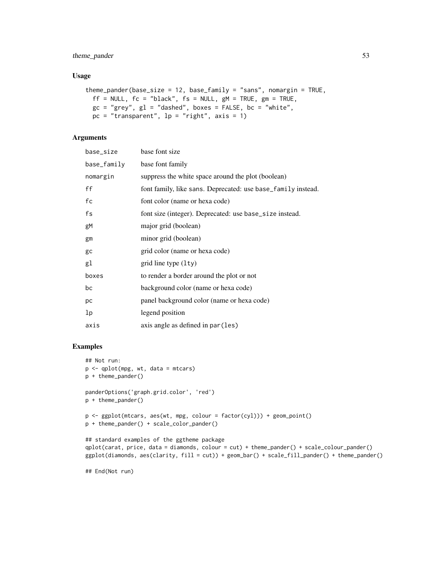## theme\_pander 53

## Usage

```
theme_pander(base_size = 12, base_family = "sans", nomargin = TRUE,
 ff = NULL, fc = "black", fs = NULL, gM = TRUE, gm = TRUE,gc = "grey", gl = "dashed", boxes = FALSE, bc = "white",pc = "transparent", lp = "right", axis = 1)
```
## Arguments

| base_size      | base font size                                               |
|----------------|--------------------------------------------------------------|
| base_family    | base font family                                             |
| nomargin       | suppress the white space around the plot (boolean)           |
| ff             | font family, like sans. Deprecated: use base_family instead. |
| fc             | font color (name or hexa code)                               |
| fs             | font size (integer). Deprecated: use base_size instead.      |
| gM             | major grid (boolean)                                         |
| gm             | minor grid (boolean)                                         |
| gc             | grid color (name or hexa code)                               |
| gl             | grid line type $(1ty)$                                       |
| boxes          | to render a border around the plot or not                    |
| bc             | background color (name or hexa code)                         |
| рc             | panel background color (name or hexa code)                   |
| 1 <sub>p</sub> | legend position                                              |
| axis           | axis angle as defined in par (les)                           |
|                |                                                              |

#### Examples

```
## Not run:
p <- qplot(mpg, wt, data = mtcars)
p + theme_pander()
panderOptions('graph.grid.color', 'red')
p + theme_pander()
p <- ggplot(mtcars, aes(wt, mpg, colour = factor(cyl))) + geom_point()
p + theme_pander() + scale_color_pander()
## standard examples of the ggtheme package
qplot(carat, price, data = diamonds, colour = cut) + theme_pander() + scale_colour_pander()
ggplot(diamonds, aes(clarity, fill = cut)) + geom_bar() + scale_fill_pander() + theme_pander()
```
## End(Not run)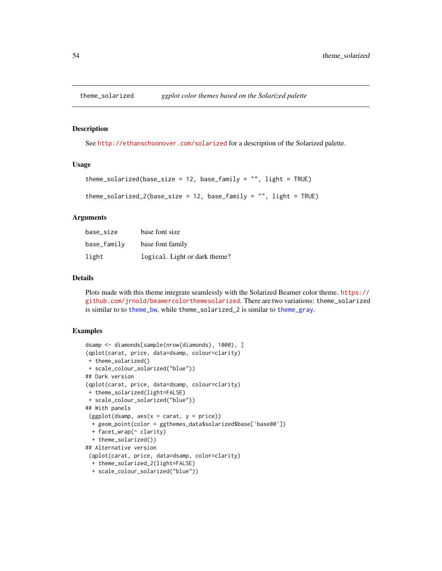<span id="page-53-0"></span>

See <http://ethanschoonover.com/solarized> for a description of the Solarized palette.

#### Usage

```
theme_solarized(base_size = 12, base_family = ", light = TRUE)
```

```
theme_solarized_2(base_size = 12, base_family = ", light = TRUE)
```
#### Arguments

| base_size   | base font size                |
|-------------|-------------------------------|
| base_family | base font family              |
| light       | logical. Light or dark theme? |

## Details

Plots made with this theme integrate seamlessly with the Solarized Beamer color theme. [https://](https://github.com/jrnold/beamercolorthemesolarized) [github.com/jrnold/beamercolorthemesolarized](https://github.com/jrnold/beamercolorthemesolarized). There are two variations: theme\_solarized is similar to to [theme\\_bw](#page-0-0), while theme\_solarized\_2 is similar to [theme\\_gray](#page-0-0).

#### Examples

```
dsamp <- diamonds[sample(nrow(diamonds), 1000), ]
(qplot(carat, price, data=dsamp, colour=clarity)
+ theme_solarized()
+ scale_colour_solarized("blue"))
## Dark version
(qplot(carat, price, data=dsamp, colour=clarity)
+ theme_solarized(light=FALSE)
+ scale_colour_solarized("blue"))
## With panels
(ggplot(dsamp, aes(x = carat, y = price))+ geom_point(color = ggthemes_data$solarized$base['base00'])
 + facet_wrap(~ clarity)
 + theme_solarized())
## Alternative version
 (qplot(carat, price, data=dsamp, color=clarity)
 + theme_solarized_2(light=FALSE)
 + scale_colour_solarized("blue"))
```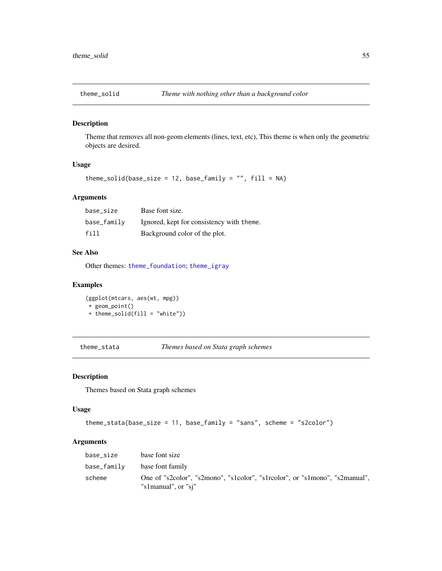<span id="page-54-1"></span><span id="page-54-0"></span>

Theme that removes all non-geom elements (lines, text, etc), This theme is when only the geometric objects are desired.

#### Usage

theme\_solid(base\_size = 12, base\_family =  $"$ , fill = NA)

#### Arguments

| base size   | Base font size.                           |
|-------------|-------------------------------------------|
| base_family | Ignored, kept for consistency with theme. |
| fill        | Background color of the plot.             |

## See Also

Other themes: [theme\\_foundation](#page-49-2); [theme\\_igray](#page-51-2)

## Examples

(ggplot(mtcars, aes(wt, mpg)) + geom\_point() + theme\_solid(fill = "white"))

theme\_stata *Themes based on Stata graph schemes*

## Description

Themes based on Stata graph schemes

#### Usage

```
theme_stata(base_size = 11, base_family = "sans", scheme = "s2color")
```
## Arguments

| base size   | base font size                                                                                     |
|-------------|----------------------------------------------------------------------------------------------------|
| base_family | base font family                                                                                   |
| scheme      | One of "s2color", "s2mono", "s1color", "s1rcolor", or "s1mono", "s2manual",<br>"s1manual", or "si" |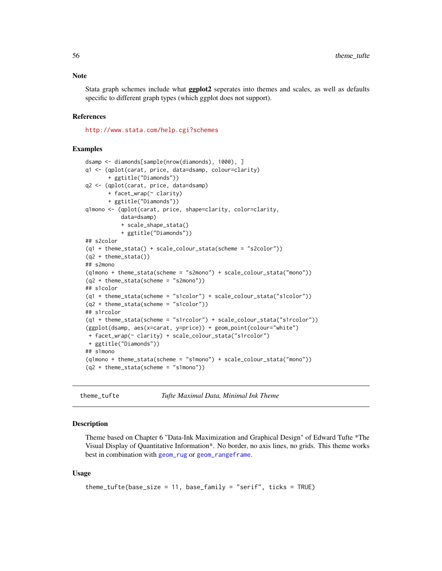<span id="page-55-0"></span>Stata graph schemes include what **ggplot2** seperates into themes and scales, as well as defaults specific to different graph types (which ggplot does not support).

#### References

<http://www.stata.com/help.cgi?schemes>

#### Examples

```
dsamp <- diamonds[sample(nrow(diamonds), 1000), ]
q1 <- (qplot(carat, price, data=dsamp, colour=clarity)
       + ggtitle("Diamonds"))
q2 <- (qplot(carat, price, data=dsamp)
       + facet_wrap(~ clarity)
       + ggtitle("Diamonds"))
q1mono <- (qplot(carat, price, shape=clarity, color=clarity,
           data=dsamp)
           + scale_shape_stata()
           + ggtitle("Diamonds"))
## s2color
(q1 + theme_stata() + scale_colour_stata(scheme = "s2color"))
(q2 + theme_stata())
## s2mono
(q1mono + theme_stata(scheme = "s2mono") + scale_colour_stata("mono"))
(q2 + theme_stata(scheme = "s2mono"))
## s1color
(q1 + theme_stata(scheme = "s1color") + scale_colour_stata("s1color"))
(q2 + theme_stata(scheme = "s1color"))
## s1rcolor
(q1 + theme_stata(scheme = "s1rcolor") + scale_colour_stata("s1rcolor"))
(ggplot(dsamp, aes(x=carat, y=price)) + geom_point(colour="white")
+ facet_wrap(~ clarity) + scale_colour_stata("s1rcolor")
+ ggtitle("Diamonds"))
## s1mono
(q1mono + theme_stata(scheme = "s1mono") + scale_colour_stata("mono"))
(q2 + \text{theme\_stata}(\text{scheme} = "s1mono"))
```

```
theme_tufte Tufte Maximal Data, Minimal Ink Theme
```
#### Description

Theme based on Chapter 6 "Data-Ink Maximization and Graphical Design" of Edward Tufte \*The Visual Display of Quantitative Information\*. No border, no axis lines, no grids. This theme works best in combination with [geom\\_rug](#page-0-0) or [geom\\_rangeframe](#page-12-1).

#### Usage

```
theme_tufte(base_size = 11, base_family = "serif", ticks = TRUE)
```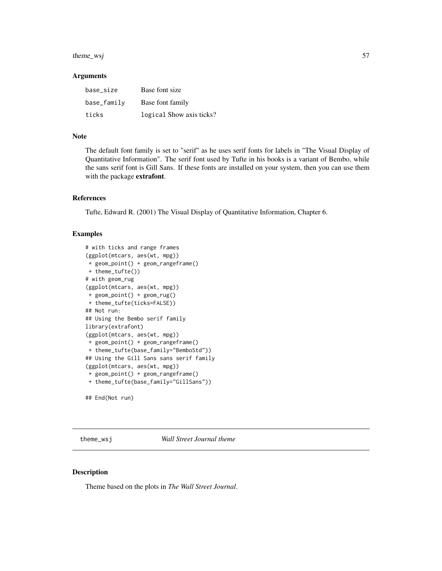<span id="page-56-0"></span>theme\_wsj 57

#### Arguments

| base size   | Base font size           |
|-------------|--------------------------|
| base_family | Base font family         |
| ticks       | logical Show axis ticks? |

## Note

The default font family is set to "serif" as he uses serif fonts for labels in "The Visual Display of Quantitative Information". The serif font used by Tufte in his books is a variant of Bembo, while the sans serif font is Gill Sans. If these fonts are installed on your system, then you can use them with the package extrafont.

#### References

Tufte, Edward R. (2001) The Visual Display of Quantitative Information, Chapter 6.

## Examples

```
# with ticks and range frames
(ggplot(mtcars, aes(wt, mpg))
+ geom_point() + geom_rangeframe()
+ theme_tufte())
# with geom_rug
(ggplot(mtcars, aes(wt, mpg))
+ geom_point() + geom_rug()
+ theme_tufte(ticks=FALSE))
## Not run:
## Using the Bembo serif family
library(extrafont)
(ggplot(mtcars, aes(wt, mpg))
+ geom_point() + geom_rangeframe()
+ theme_tufte(base_family="BemboStd"))
## Using the Gill Sans sans serif family
(ggplot(mtcars, aes(wt, mpg))
+ geom_point() + geom_rangeframe()
+ theme_tufte(base_family="GillSans"))
## End(Not run)
```
<span id="page-56-1"></span>theme\_wsj *Wall Street Journal theme*

## Description

Theme based on the plots in *The Wall Street Journal*.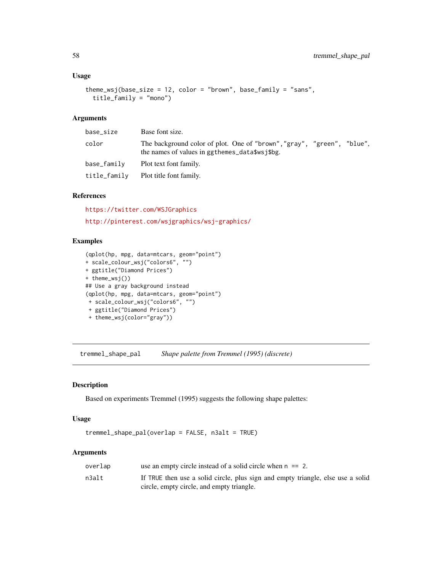## <span id="page-57-0"></span>Usage

```
theme_wsj(base_size = 12, color = "brown", base_family = "sans",
  title_family = "mono")
```
## Arguments

| base_size    | Base font size.                                                                                                          |
|--------------|--------------------------------------------------------------------------------------------------------------------------|
| color        | The background color of plot. One of "brown", "gray", "green", "blue",<br>the names of values in ggthemes_data\$wsj\$bg. |
| base_familv  | Plot text font family.                                                                                                   |
| title_family | Plot title font family.                                                                                                  |

## References

<https://twitter.com/WSJGraphics> <http://pinterest.com/wsjgraphics/wsj-graphics/>

## Examples

```
(qplot(hp, mpg, data=mtcars, geom="point")
+ scale_colour_wsj("colors6", "")
+ ggtitle("Diamond Prices")
+ theme_wsj())
## Use a gray background instead
(qplot(hp, mpg, data=mtcars, geom="point")
+ scale_colour_wsj("colors6", "")
+ ggtitle("Diamond Prices")
 + theme_wsj(color="gray"))
```
<span id="page-57-1"></span>tremmel\_shape\_pal *Shape palette from Tremmel (1995) (discrete)*

## Description

Based on experiments Tremmel (1995) suggests the following shape palettes:

### Usage

```
tremmel_shape_pal(overlap = FALSE, n3alt = TRUE)
```
#### Arguments

| overlap | use an empty circle instead of a solid circle when $n == 2$ .                                                                |
|---------|------------------------------------------------------------------------------------------------------------------------------|
| n3alt   | If TRUE then use a solid circle, plus sign and empty triangle, else use a solid<br>circle, empty circle, and empty triangle. |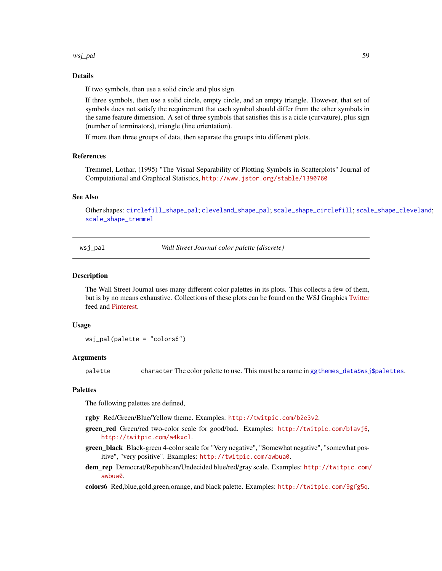<span id="page-58-0"></span>wsj\_pal 59

## Details

If two symbols, then use a solid circle and plus sign.

If three symbols, then use a solid circle, empty circle, and an empty triangle. However, that set of symbols does not satisfy the requirement that each symbol should differ from the other symbols in the same feature dimension. A set of three symbols that satisfies this is a cicle (curvature), plus sign (number of terminators), triangle (line orientation).

If more than three groups of data, then separate the groups into different plots.

#### References

Tremmel, Lothar, (1995) "The Visual Separability of Plotting Symbols in Scatterplots" Journal of Computational and Graphical Statistics, <http://www.jstor.org/stable/1390760>

#### See Also

Other shapes: [circlefill\\_shape\\_pal](#page-6-2); [cleveland\\_shape\\_pal](#page-6-1); [scale\\_shape\\_circlefill](#page-31-2); [scale\\_shape\\_cleveland](#page-32-1); [scale\\_shape\\_tremmel](#page-34-1)

<span id="page-58-1"></span>wsj\_pal *Wall Street Journal color palette (discrete)*

#### Description

The Wall Street Journal uses many different color palettes in its plots. This collects a few of them, but is by no means exhaustive. Collections of these plots can be found on the WSJ Graphics [Twitter](https://twitter.com/WSJGraphics) feed and [Pinterest.](http://pinterest.com/wsjgraphics/wsj-graphics/)

#### Usage

wsj\_pal(palette = "colors6")

#### Arguments

palette character The color palette to use. This must be a name in [ggthemes\\_data\\$wsj\\$palettes](#page-16-1).

#### Palettes

The following palettes are defined,

rgby Red/Green/Blue/Yellow theme. Examples: <http://twitpic.com/b2e3v2>.

- green\_red Green/red two-color scale for good/bad. Examples: <http://twitpic.com/b1avj6>, <http://twitpic.com/a4kxcl>.
- green\_black Black-green 4-color scale for "Very negative", "Somewhat negative", "somewhat positive", "very positive". Examples: <http://twitpic.com/awbua0>.
- dem\_rep Democrat/Republican/Undecided blue/red/gray scale. Examples: [http://twitpic.com/](http://twitpic.com/awbua0) [awbua0](http://twitpic.com/awbua0).

colors6 Red,blue,gold,green,orange, and black palette. Examples: <http://twitpic.com/9gfg5q>.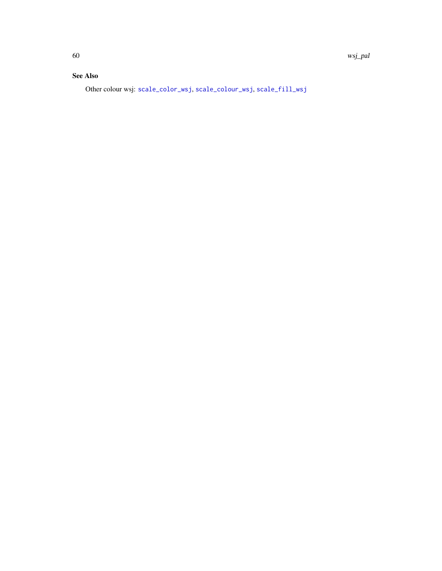## <span id="page-59-0"></span>See Also

Other colour wsj: [scale\\_color\\_wsj](#page-27-1), [scale\\_colour\\_wsj](#page-27-2), [scale\\_fill\\_wsj](#page-27-1)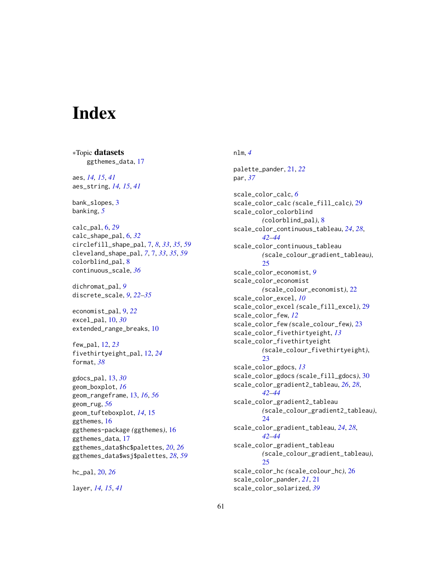# <span id="page-60-0"></span>**Index**

∗Topic datasets ggthemes\_data, [17](#page-16-0) aes, *[14,](#page-13-0) [15](#page-14-0)*, *[41](#page-40-0)* aes\_string, *[14,](#page-13-0) [15](#page-14-0)*, *[41](#page-40-0)* bank\_slopes, [3](#page-2-0) banking, *[5](#page-4-0)* calc\_pal, [6,](#page-5-0) *[29](#page-28-0)* calc\_shape\_pal, [6,](#page-5-0) *[32](#page-31-0)* circlefill\_shape\_pal, [7,](#page-6-0) *[8](#page-7-0)*, *[33](#page-32-0)*, *[35](#page-34-0)*, *[59](#page-58-0)* cleveland\_shape\_pal, *[7](#page-6-0)*, [7,](#page-6-0) *[33](#page-32-0)*, *[35](#page-34-0)*, *[59](#page-58-0)* colorblind\_pal, [8](#page-7-0) continuous\_scale, *[36](#page-35-0)* dichromat\_pal, *[9](#page-8-0)* discrete\_scale, *[9](#page-8-0)*, *[22–](#page-21-0)[35](#page-34-0)* economist\_pal, [9,](#page-8-0) *[22](#page-21-0)* excel\_pal, [10,](#page-9-0) *[30](#page-29-0)* extended\_range\_breaks, [10](#page-9-0) few\_pal, [12,](#page-11-0) *[23](#page-22-0)* fivethirtyeight\_pal, [12,](#page-11-0) *[24](#page-23-0)* format, *[38](#page-37-0)* gdocs\_pal, [13,](#page-12-0) *[30](#page-29-0)* geom\_boxplot, *[16](#page-15-0)* geom\_rangeframe, [13,](#page-12-0) *[16](#page-15-0)*, *[56](#page-55-0)* geom\_rug, *[56](#page-55-0)* geom\_tufteboxplot, *[14](#page-13-0)*, [15](#page-14-0) ggthemes, [16](#page-15-0) ggthemes-package *(*ggthemes*)*, [16](#page-15-0) ggthemes\_data, [17](#page-16-0) ggthemes\_data\$hc\$palettes, *[20](#page-19-0)*, *[26](#page-25-0)* ggthemes\_data\$wsj\$palettes, *[28](#page-27-0)*, *[59](#page-58-0)*

hc\_pal, [20,](#page-19-0) *[26](#page-25-0)*

layer, *[14,](#page-13-0) [15](#page-14-0)*, *[41](#page-40-0)*

nlm, *[4](#page-3-0)* palette\_pander, [21,](#page-20-0) *[22](#page-21-0)* par, *[37](#page-36-0)* scale\_color\_calc, *[6](#page-5-0)* scale\_color\_calc *(*scale\_fill\_calc*)*, [29](#page-28-0) scale\_color\_colorblind *(*colorblind\_pal*)*, [8](#page-7-0) scale\_color\_continuous\_tableau, *[24](#page-23-0)*, *[28](#page-27-0)*, *[42](#page-41-0)[–44](#page-43-0)* scale\_color\_continuous\_tableau *(*scale\_colour\_gradient\_tableau*)*, [25](#page-24-0) scale\_color\_economist, *[9](#page-8-0)* scale\_color\_economist *(*scale\_colour\_economist*)*, [22](#page-21-0) scale\_color\_excel, *[10](#page-9-0)* scale\_color\_excel *(*scale\_fill\_excel*)*, [29](#page-28-0) scale\_color\_few, *[12](#page-11-0)* scale\_color\_few *(*scale\_colour\_few*)*, [23](#page-22-0) scale\_color\_fivethirtyeight, *[13](#page-12-0)* scale\_color\_fivethirtyeight *(*scale\_colour\_fivethirtyeight*)*, [23](#page-22-0) scale\_color\_gdocs, *[13](#page-12-0)* scale\_color\_gdocs *(*scale\_fill\_gdocs*)*, [30](#page-29-0) scale\_color\_gradient2\_tableau, *[26](#page-25-0)*, *[28](#page-27-0)*, *[42](#page-41-0)[–44](#page-43-0)* scale\_color\_gradient2\_tableau *(*scale\_colour\_gradient2\_tableau*)*,  $24$ scale\_color\_gradient\_tableau, *[24](#page-23-0)*, *[28](#page-27-0)*, *[42](#page-41-0)[–44](#page-43-0)* scale\_color\_gradient\_tableau *(*scale\_colour\_gradient\_tableau*)*, [25](#page-24-0) scale\_color\_hc *(*scale\_colour\_hc*)*, [26](#page-25-0) scale\_color\_pander, *[21](#page-20-0)*, [21](#page-20-0) scale\_color\_solarized, *[39](#page-38-0)*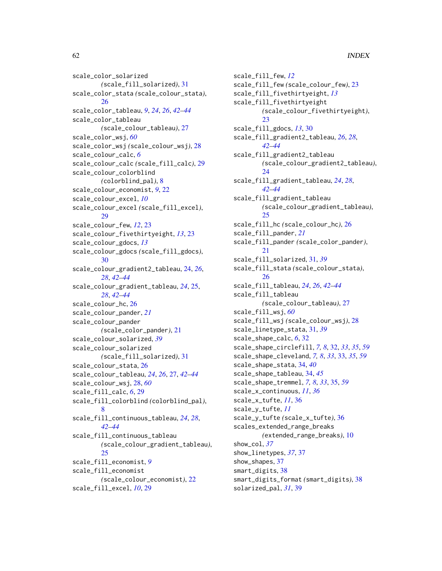scale\_color\_solarized *(*scale\_fill\_solarized*)*, [31](#page-30-0) scale\_color\_stata *(*scale\_colour\_stata*)*, [26](#page-25-0) scale\_color\_tableau, *[9](#page-8-0)*, *[24](#page-23-0)*, *[26](#page-25-0)*, *[42–](#page-41-0)[44](#page-43-0)* scale\_color\_tableau *(*scale\_colour\_tableau*)*, [27](#page-26-0) scale\_color\_wsj, *[60](#page-59-0)* scale\_color\_wsj *(*scale\_colour\_wsj*)*, [28](#page-27-0) scale\_colour\_calc, *[6](#page-5-0)* scale\_colour\_calc *(*scale\_fill\_calc*)*, [29](#page-28-0) scale\_colour\_colorblind *(*colorblind\_pal*)*, [8](#page-7-0) scale\_colour\_economist, *[9](#page-8-0)*, [22](#page-21-0) scale\_colour\_excel, *[10](#page-9-0)* scale\_colour\_excel *(*scale\_fill\_excel*)*, [29](#page-28-0) scale\_colour\_few, *[12](#page-11-0)*, [23](#page-22-0) scale\_colour\_fivethirtyeight, *[13](#page-12-0)*, [23](#page-22-0) scale\_colour\_gdocs, *[13](#page-12-0)* scale\_colour\_gdocs *(*scale\_fill\_gdocs*)*, [30](#page-29-0) scale\_colour\_gradient2\_tableau, [24,](#page-23-0) *[26](#page-25-0)*, *[28](#page-27-0)*, *[42](#page-41-0)[–44](#page-43-0)* scale\_colour\_gradient\_tableau, *[24](#page-23-0)*, [25,](#page-24-0) *[28](#page-27-0)*, *[42](#page-41-0)[–44](#page-43-0)* scale\_colour\_hc, [26](#page-25-0) scale\_colour\_pander, *[21](#page-20-0)* scale\_colour\_pander *(*scale\_color\_pander*)*, [21](#page-20-0) scale\_colour\_solarized, *[39](#page-38-0)* scale\_colour\_solarized *(*scale\_fill\_solarized*)*, [31](#page-30-0) scale\_colour\_stata, [26](#page-25-0) scale\_colour\_tableau, *[24](#page-23-0)*, *[26](#page-25-0)*, [27,](#page-26-0) *[42–](#page-41-0)[44](#page-43-0)* scale\_colour\_wsj, [28,](#page-27-0) *[60](#page-59-0)* scale\_fill\_calc, *[6](#page-5-0)*, [29](#page-28-0) scale\_fill\_colorblind *(*colorblind\_pal*)*, [8](#page-7-0) scale\_fill\_continuous\_tableau, *[24](#page-23-0)*, *[28](#page-27-0)*, *[42](#page-41-0)[–44](#page-43-0)* scale\_fill\_continuous\_tableau *(*scale\_colour\_gradient\_tableau*)*, [25](#page-24-0) scale\_fill\_economist, *[9](#page-8-0)* scale\_fill\_economist *(*scale\_colour\_economist*)*, [22](#page-21-0) scale\_fill\_excel, *[10](#page-9-0)*, [29](#page-28-0)

scale\_fill\_few, *[12](#page-11-0)* scale\_fill\_few *(*scale\_colour\_few*)*, [23](#page-22-0) scale\_fill\_fivethirtyeight, *[13](#page-12-0)* scale\_fill\_fivethirtyeight *(*scale\_colour\_fivethirtyeight*)*, [23](#page-22-0) scale\_fill\_gdocs, *[13](#page-12-0)*, [30](#page-29-0) scale\_fill\_gradient2\_tableau, *[26](#page-25-0)*, *[28](#page-27-0)*, *[42](#page-41-0)[–44](#page-43-0)* scale\_fill\_gradient2\_tableau *(*scale\_colour\_gradient2\_tableau*)*, [24](#page-23-0) scale\_fill\_gradient\_tableau, *[24](#page-23-0)*, *[28](#page-27-0)*, *[42](#page-41-0)[–44](#page-43-0)* scale\_fill\_gradient\_tableau *(*scale\_colour\_gradient\_tableau*)*, [25](#page-24-0) scale\_fill\_hc *(*scale\_colour\_hc*)*, [26](#page-25-0) scale\_fill\_pander, *[21](#page-20-0)* scale\_fill\_pander *(*scale\_color\_pander*)*, [21](#page-20-0) scale\_fill\_solarized, [31,](#page-30-0) *[39](#page-38-0)* scale\_fill\_stata *(*scale\_colour\_stata*)*, [26](#page-25-0) scale\_fill\_tableau, *[24](#page-23-0)*, *[26](#page-25-0)*, *[42](#page-41-0)[–44](#page-43-0)* scale\_fill\_tableau *(*scale\_colour\_tableau*)*, [27](#page-26-0) scale\_fill\_wsj, *[60](#page-59-0)* scale\_fill\_wsj *(*scale\_colour\_wsj*)*, [28](#page-27-0) scale\_linetype\_stata, [31,](#page-30-0) *[39](#page-38-0)* scale\_shape\_calc, *[6](#page-5-0)*, [32](#page-31-0) scale\_shape\_circlefill, *[7,](#page-6-0) [8](#page-7-0)*, [32,](#page-31-0) *[33](#page-32-0)*, *[35](#page-34-0)*, *[59](#page-58-0)* scale\_shape\_cleveland, *[7,](#page-6-0) [8](#page-7-0)*, *[33](#page-32-0)*, [33,](#page-32-0) *[35](#page-34-0)*, *[59](#page-58-0)* scale\_shape\_stata, [34,](#page-33-0) *[40](#page-39-0)* scale\_shape\_tableau, [34,](#page-33-0) *[45](#page-44-0)* scale\_shape\_tremmel, *[7,](#page-6-0) [8](#page-7-0)*, *[33](#page-32-0)*, [35,](#page-34-0) *[59](#page-58-0)* scale\_x\_continuous, *[11](#page-10-0)*, *[36](#page-35-0)* scale\_x\_tufte, *[11](#page-10-0)*, [36](#page-35-0) scale\_y\_tufte, *[11](#page-10-0)* scale\_y\_tufte *(*scale\_x\_tufte*)*, [36](#page-35-0) scales\_extended\_range\_breaks *(*extended\_range\_breaks*)*, [10](#page-9-0) show\_col, *[37](#page-36-0)* show\_linetypes, *[37](#page-36-0)*, [37](#page-36-0) show\_shapes, [37](#page-36-0) smart\_digits, [38](#page-37-0) smart\_digits\_format *(*smart\_digits*)*, [38](#page-37-0) solarized\_pal, *[31](#page-30-0)*, [39](#page-38-0)